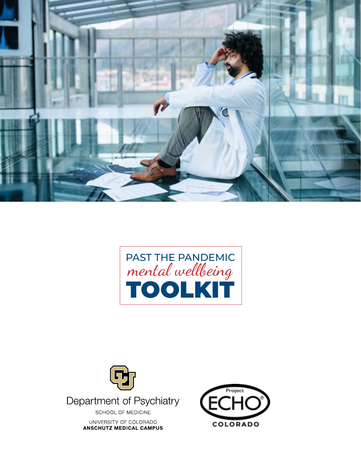





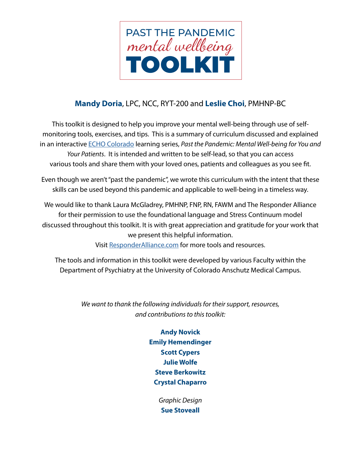

## **Mandy Doria**, LPC, NCC, RYT-200 and **Leslie Choi**, PMHNP-BC

This toolkit is designed to help you improve your mental well-being through use of selfmonitoring tools, exercises, and tips. This is a summary of curriculum discussed and explained in an interactive [ECHO Colorado](https://echocolorado.org/find-an-echo/) learning series, *Past the Pandemic: Mental Well-being for You and Your Patients*. It is intended and written to be self-lead, so that you can access various tools and share them with your loved ones, patients and colleagues as you see fit.

Even though we aren't "past the pandemic", we wrote this curriculum with the intent that these skills can be used beyond this pandemic and applicable to well-being in a timeless way.

We would like to thank Laura McGladrey, PMHNP, FNP, RN, FAWM and The Responder Alliance for their permission to use the foundational language and Stress Continuum model discussed throughout this toolkit. It is with great appreciation and gratitude for your work that we present this helpful information.

Visit [ResponderAlliance.com](http://www.ResponderAlliance.com) for more tools and resources.

The tools and information in this toolkit were developed by various Faculty within the Department of Psychiatry at the University of Colorado Anschutz Medical Campus.

> *We want to thank the following individuals for their support, resources, and contributions to this toolkit:*

> > **Andy Novick Emily Hemendinger Scott Cypers Julie Wolfe Steve Berkowitz Crystal Chaparro**

> > > *Graphic Design* **Sue Stoveall**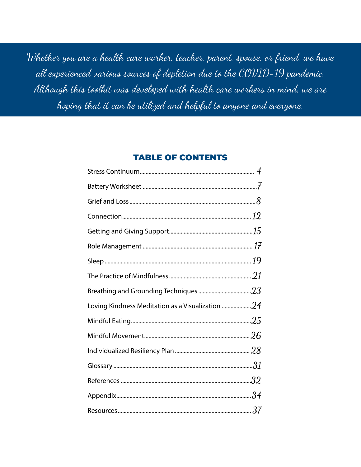Whether you are a health care worker, teacher, parent, spouse, or friend, we have all experienced various sources of depletion due to the COVID-19 pandemic. Although this toolkit was developed with health care workers in mind, we are hoping that it can be utilized and helpful to anyone and everyone.

## TABLE OF CONTENTS

| 32 |
|----|
|    |
|    |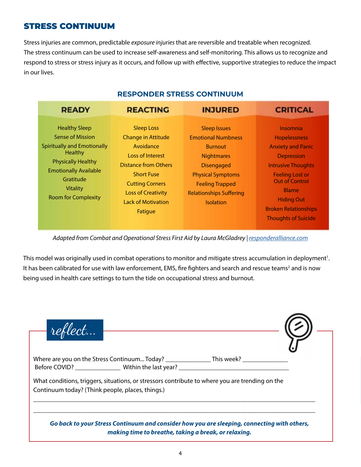## STRESS CONTINUUM

Stress injuries are common, predictable *exposure injuries* that are reversible and treatable when recognized. The stress continuum can be used to increase self-awareness and self-monitoring. This allows us to recognize and respond to stress or stress injury as it occurs, and follow up with effective, supportive strategies to reduce the impact in our lives.

| <b>INJURED</b><br><b>REACTING</b><br><b>READY</b><br><b>CRITICAL</b>                                                                                                                                                                                                                                                                                                                                                                                                                                                                                                                                                                                                                                                                                                                                                                                                                                                                                                              |  |  |
|-----------------------------------------------------------------------------------------------------------------------------------------------------------------------------------------------------------------------------------------------------------------------------------------------------------------------------------------------------------------------------------------------------------------------------------------------------------------------------------------------------------------------------------------------------------------------------------------------------------------------------------------------------------------------------------------------------------------------------------------------------------------------------------------------------------------------------------------------------------------------------------------------------------------------------------------------------------------------------------|--|--|
|                                                                                                                                                                                                                                                                                                                                                                                                                                                                                                                                                                                                                                                                                                                                                                                                                                                                                                                                                                                   |  |  |
| <b>Healthy Sleep</b><br><b>Sleep Loss</b><br><b>Sleep Issues</b><br>Insomnia<br><b>Sense of Mission</b><br><b>Change in Attitude</b><br><b>Emotional Numbness</b><br><b>Hopelessness</b><br><b>Spiritually and Emotionally</b><br>Avoidance<br><b>Anxiety and Panic</b><br><b>Burnout</b><br><b>Healthy</b><br><b>Loss of Interest</b><br><b>Nightmares</b><br><b>Depression</b><br><b>Physically Healthy</b><br><b>Distance from Others</b><br><b>Intrusive Thoughts</b><br><b>Disengaged</b><br><b>Emotionally Available</b><br><b>Short Fuse</b><br><b>Feeling Lost or</b><br><b>Physical Symptoms</b><br>Gratitude<br><b>Out of Control</b><br><b>Cutting Corners</b><br><b>Feeling Trapped</b><br><b>Vitality</b><br><b>Blame</b><br><b>Loss of Creativity</b><br><b>Relationships Suffering</b><br><b>Room for Complexity</b><br><b>Hiding Out</b><br><b>Lack of Motivation</b><br><b>Isolation</b><br><b>Broken Relationships</b><br>Fatigue<br><b>Thoughts of Suicide</b> |  |  |

## **RESPONDER STRESS CONTINUUM**

Adapted from Combat and Operational Stress First Aid by Laura McGladrey | *[responderalliance.com](http://responderalliance.com)* 

This model was originally used in combat operations to monitor and mitigate stress accumulation in deployment<sup>1</sup>. It has been calibrated for use with law enforcement, EMS, fire fighters and search and rescue teams<sup>2</sup> and is now being used in health care settings to turn the tide on occupational stress and burnout.

| Where are you on the Stress Continuum Today? _________________________________                                                                      |  |
|-----------------------------------------------------------------------------------------------------------------------------------------------------|--|
|                                                                                                                                                     |  |
| What conditions, triggers, situations, or stressors contribute to where you are trending on the<br>Continuum today? (Think people, places, things.) |  |
|                                                                                                                                                     |  |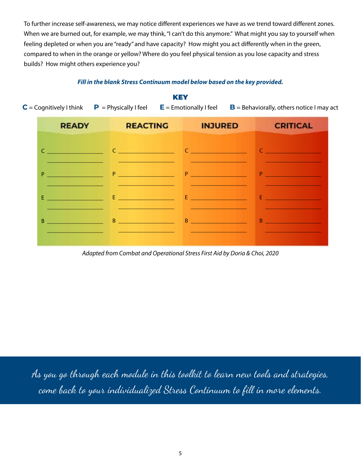To further increase self-awareness, we may notice different experiences we have as we trend toward different zones. When we are burned out, for example, we may think, "I can't do this anymore." What might you say to yourself when feeling depleted or when you are "ready" and have capacity? How might you act differently when in the green, compared to when in the orange or yellow? Where do you feel physical tension as you lose capacity and stress builds? How might others experience you?

### KEY  $C =$  Cognitively I think  $P =$  Physically I feel  $E =$  Emotionally I feel  $B =$  Behaviorally, others notice I may act **READY REACTING INJURED CRITICAL** C \_\_\_\_\_\_\_\_\_\_\_\_\_\_\_\_\_\_\_\_\_  $C = \bigcup_{i=1}^n C_i$  $C = \frac{1}{2}$ C \_\_\_\_\_\_\_\_\_\_\_\_\_\_\_\_\_\_\_ \_\_\_\_\_\_\_\_\_\_\_\_\_\_\_\_\_\_\_ \_\_\_\_\_\_\_\_\_\_\_\_\_\_\_\_\_\_\_ \_\_\_\_\_\_\_\_\_\_\_\_\_\_\_\_\_\_\_ P \_\_\_\_\_\_\_\_\_\_\_\_\_\_\_\_\_\_\_ P \_\_\_\_\_\_\_\_\_\_\_\_\_\_\_\_\_\_\_ P \_\_\_\_\_\_\_\_\_\_\_\_\_\_\_\_\_\_\_ P \_\_\_\_\_\_\_\_\_\_\_\_\_\_\_\_\_\_\_ \_\_\_\_\_\_\_\_\_\_\_\_\_\_\_\_\_\_\_  $\_$ \_\_\_\_\_\_\_\_\_\_\_\_\_\_\_\_\_\_\_ E \_\_\_\_\_\_\_\_\_\_\_\_\_\_\_\_ E \_\_\_\_\_\_\_\_\_\_\_\_\_\_\_\_\_\_\_ E <u>and the second that</u> E <u>\_\_\_\_\_\_\_\_\_\_\_\_\_\_\_\_\_\_\_\_\_\_\_</u> \_\_\_\_\_\_\_\_\_\_\_\_\_\_\_\_\_\_\_ \_\_\_\_\_\_\_\_\_\_\_\_\_\_\_\_\_\_\_ \_\_\_\_\_\_\_\_\_\_\_\_\_\_\_\_\_\_\_ \_\_\_\_\_\_\_\_\_\_\_\_\_\_\_\_\_\_\_ B \_\_\_\_\_\_\_\_\_\_\_\_\_\_\_\_\_\_\_ B \_\_\_\_\_\_\_\_\_\_\_\_\_\_\_\_\_\_\_ B \_\_\_\_\_\_\_\_\_\_\_\_\_\_\_\_\_\_\_ B \_\_\_\_\_\_\_\_\_\_\_\_\_\_\_\_\_\_\_ \_\_\_\_\_\_\_\_\_\_\_\_\_\_\_\_\_\_\_ \_\_\_\_\_\_\_\_\_\_\_\_\_\_\_\_\_\_\_ \_\_\_\_\_\_\_\_\_\_\_\_\_\_\_\_\_\_\_ \_\_\_\_\_\_\_\_\_\_\_\_\_\_\_\_\_\_\_

### *Fill in the blank Stress Continuum model below based on the key provided.*

*Adapted from Combat and Operational Stress First Aid by Doria & Choi, 2020*

As you go through each module in this toolkit to learn new tools and strategies, come back to your individualized Stress Continuum to fill in more elements.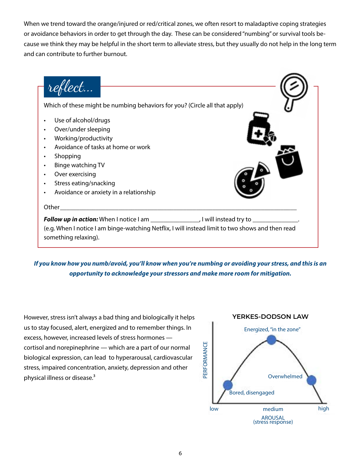When we trend toward the orange/injured or red/critical zones, we often resort to maladaptive coping strategies or avoidance behaviors in order to get through the day. These can be considered "numbing" or survival tools because we think they may be helpful in the short term to alleviate stress, but they usually do not help in the long term and can contribute to further burnout.



*If you know how you numb/avoid, you'll know when you're numbing or avoiding your stress, and this is an opportunity to acknowledge your stressors and make more room for mitigation.*

However, stress isn't always a bad thing and biologically it helps us to stay focused, alert, energized and to remember things. In excess, however, increased levels of stress hormones cortisol and norepinephrine — which are a part of our normal biological expression, can lead to hyperarousal, cardiovascular stress, impaired concentration, anxiety, depression and other physical illness or disease.<sup>3</sup>

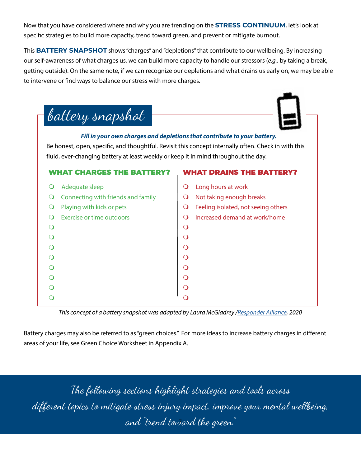Now that you have considered where and why you are trending on the **STRESS CONTINUUM**, let's look at specific strategies to build more capacity, trend toward green, and prevent or mitigate burnout.

This **BATTERY SNAPSHOT** shows "charges" and "depletions" that contribute to our wellbeing. By increasing our self-awareness of what charges us, we can build more capacity to handle our stressors (*e.g.,* by taking a break, getting outside). On the same note, if we can recognize our depletions and what drains us early on, we may be able to intervene or find ways to balance our stress with more charges.

| fluid, ever-changing battery at least weekly or keep it in mind throughout the day. | Fill in your own charges and depletions that contribute to your battery.<br>Be honest, open, specific, and thoughtful. Revisit this concept internally often. Check in with this |
|-------------------------------------------------------------------------------------|----------------------------------------------------------------------------------------------------------------------------------------------------------------------------------|
| <b>WHAT CHADGES THE BATTEDY?</b>                                                    | <b>WHAT DRAINS THE RATTERY?</b>                                                                                                                                                  |
| Adequate sleep<br>$\Omega$                                                          | Long hours at work<br>O                                                                                                                                                          |
| Connecting with friends and family                                                  | Not taking enough breaks<br>$\Omega$                                                                                                                                             |
| Playing with kids or pets<br>∩                                                      | Feeling isolated, not seeing others<br>$\Omega$                                                                                                                                  |
| Exercise or time outdoors<br>∩                                                      | Increased demand at work/home<br>$\Omega$                                                                                                                                        |
| $\circ$                                                                             | $\Omega$                                                                                                                                                                         |
| $\Omega$                                                                            |                                                                                                                                                                                  |
| $\overline{O}$                                                                      |                                                                                                                                                                                  |
| $\overline{O}$                                                                      | $\Omega$                                                                                                                                                                         |
| $\overline{O}$                                                                      | $\Omega$                                                                                                                                                                         |
|                                                                                     |                                                                                                                                                                                  |

*This concept of a battery snapshot was adapted by Laura McGladrey [/Responder Alliance](https://www.responderalliance.com/), 2020*

Battery charges may also be referred to as "green choices." For more ideas to increase battery charges in different areas of your life, see Green Choice Worksheet in Appendix A.

The following sections highlight strategies and tools across different topics to mitigate stress injury impact, improve your mental wellbeing, and "trend toward the green." <sup>7</sup>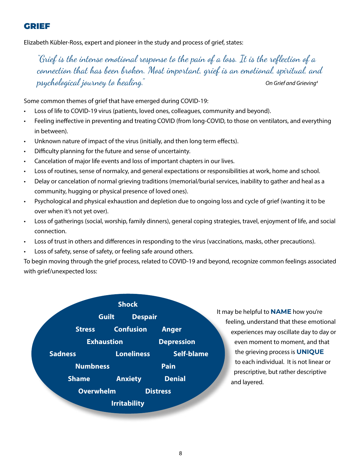## GRIEF

Elizabeth Kübler-Ross, expert and pioneer in the study and process of grief, states:

"Grief is the intense emotional response to the pain of a loss. It is the reflection of a connection that has been broken. Most important, grief is an emotional, spiritual, and psychological journey to healing." *On Grief and Grieving4*

Some common themes of grief that have emerged during COVID-19:

- Loss of life to COVID-19 virus (patients, loved ones, colleagues, community and beyond).
- Feeling ineffective in preventing and treating COVID (from long-COVID, to those on ventilators, and everything in between).
- Unknown nature of impact of the virus (initially, and then long term effects).
- Difficulty planning for the future and sense of uncertainty.
- Cancelation of major life events and loss of important chapters in our lives.
- Loss of routines, sense of normalcy, and general expectations or responsibilities at work, home and school.
- Delay or cancelation of normal grieving traditions (memorial/burial services, inability to gather and heal as a community, hugging or physical presence of loved ones).
- Psychological and physical exhaustion and depletion due to ongoing loss and cycle of grief (wanting it to be over when it's not yet over).
- Loss of gatherings (social, worship, family dinners), general coping strategies, travel, enjoyment of life, and social connection.
- Loss of trust in others and differences in responding to the virus (vaccinations, masks, other precautions).
- Loss of safety, sense of safety, or feeling safe around others.

To begin moving through the grief process, related to COVID-19 and beyond, recognize common feelings associated with grief/unexpected loss:

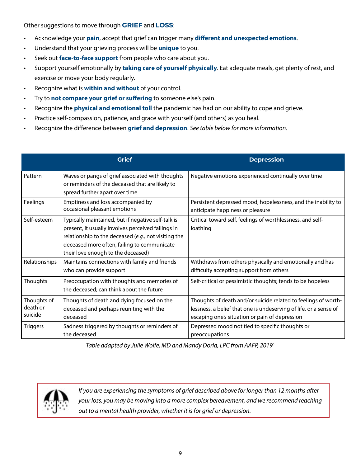Other suggestions to move through **GRIEF** and **LOSS**:

- Acknowledge your **pain**, accept that grief can trigger many **different and unexpected emotions**.
- Understand that your grieving process will be **unique** to you.
- Seek out **face-to-face support** from people who care about you.
- Support yourself emotionally by **taking care of yourself physically**. Eat adequate meals, get plenty of rest, and exercise or move your body regularly.
- Recognize what is **within and without** of your control.
- Try to **not compare your grief or suffering** to someone else's pain.
- Recognize the **physical and emotional toll** the pandemic has had on our ability to cope and grieve.
- Practice self-compassion, patience, and grace with yourself (and others) as you heal.
- Recognize the difference between **grief and depression**. *See table below for more information.*

|                                    | <b>Grief</b>                                                                                                                                                                                                                                          | <b>Depression</b>                                                                                                                                                                     |
|------------------------------------|-------------------------------------------------------------------------------------------------------------------------------------------------------------------------------------------------------------------------------------------------------|---------------------------------------------------------------------------------------------------------------------------------------------------------------------------------------|
| Pattern                            | Waves or pangs of grief associated with thoughts<br>or reminders of the deceased that are likely to<br>spread further apart over time                                                                                                                 | Negative emotions experienced continually over time                                                                                                                                   |
| Feelings                           | Emptiness and loss accompanied by<br>occasional pleasant emotions                                                                                                                                                                                     | Persistent depressed mood, hopelessness, and the inability to<br>anticipate happiness or pleasure                                                                                     |
| Self-esteem                        | Typically maintained, but if negative self-talk is<br>present, it usually involves perceived failings in<br>relationship to the deceased (e.g., not visiting the<br>deceased more often, failing to communicate<br>their love enough to the deceased) | Critical toward self, feelings of worthlessness, and self-<br>loathing                                                                                                                |
| Relationships                      | Maintains connections with family and friends<br>who can provide support                                                                                                                                                                              | Withdraws from others physically and emotionally and has<br>difficulty accepting support from others                                                                                  |
| Thoughts                           | Preoccupation with thoughts and memories of<br>the deceased; can think about the future                                                                                                                                                               | Self-critical or pessimistic thoughts; tends to be hopeless                                                                                                                           |
| Thoughts of<br>death or<br>suicide | Thoughts of death and dying focused on the<br>deceased and perhaps reuniting with the<br>deceased                                                                                                                                                     | Thoughts of death and/or suicide related to feelings of worth-<br>lessness, a belief that one is undeserving of life, or a sense of<br>escaping one's situation or pain of depression |
| Triggers                           | Sadness triggered by thoughts or reminders of<br>the deceased                                                                                                                                                                                         | Depressed mood not tied to specific thoughts or<br>preoccupations                                                                                                                     |

*Table adapted by Julie Wolfe, MD and Mandy Doria, LPC from AAFP, 20195*



*If you are experiencing the symptoms of grief described above for longer than 12 months after your loss, you may be moving into a more complex bereavement, and we recommend reaching out to a mental health provider, whether it is for grief or depression.*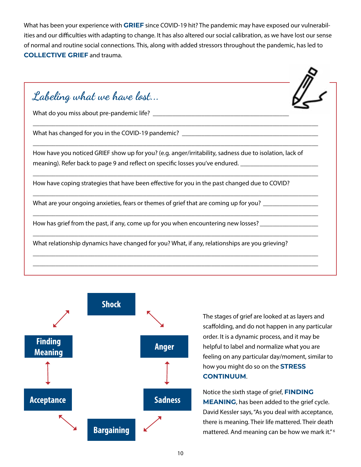What has been your experience with **GRIEF** since COVID-19 hit? The pandemic may have exposed our vulnerabilities and our difficulties with adapting to change. It has also altered our social calibration, as we have lost our sense of normal and routine social connections. This, along with added stressors throughout the pandemic, has led to **COLLECTIVE GRIEF** and trauma.

Labeling what we have lost... What do you miss about pre-pandemic life? \_\_\_\_\_\_\_\_\_\_\_\_\_\_\_\_\_\_\_\_\_\_\_\_\_\_\_\_\_\_\_\_\_\_\_\_\_\_\_\_\_\_ \_\_\_\_\_\_\_\_\_\_\_\_\_\_\_\_\_\_\_\_\_\_\_\_\_\_\_\_\_\_\_\_\_\_\_\_\_\_\_\_\_\_\_\_\_\_\_\_\_\_\_\_\_\_\_\_\_\_\_\_\_\_\_\_\_\_\_\_\_\_\_\_\_\_\_\_\_\_\_\_\_\_\_\_\_\_\_\_ What has changed for you in the COVID-19 pandemic? \_\_\_\_\_\_\_\_\_\_\_\_\_\_\_\_\_\_\_\_\_\_\_\_\_\_\_\_\_ \_\_\_\_\_\_\_\_\_\_\_\_\_\_\_\_\_\_\_\_\_\_\_\_\_\_\_\_\_\_\_\_\_\_\_\_\_\_\_\_\_\_\_\_\_\_\_\_\_\_\_\_\_\_\_\_\_\_\_\_\_\_\_\_\_\_\_\_\_\_\_\_\_\_\_\_\_\_\_\_\_\_\_\_\_\_\_\_ How have you noticed GRIEF show up for you? (e.g. anger/irritability, sadness due to isolation, lack of meaning). Refer back to page 9 and reflect on specific losses you've endured. \_\_\_\_\_\_\_\_\_\_\_\_\_\_\_\_\_\_\_\_\_\_\_\_\_\_\_\_\_\_\_ \_\_\_\_\_\_\_\_\_\_\_\_\_\_\_\_\_\_\_\_\_\_\_\_\_\_\_\_\_\_\_\_\_\_\_\_\_\_\_\_\_\_\_\_\_\_\_\_\_\_\_\_\_\_\_\_\_\_\_\_\_\_\_\_\_\_\_\_\_\_\_\_\_\_\_\_\_\_\_\_\_\_\_\_\_\_\_\_ How have coping strategies that have been effective for you in the past changed due to COVID? \_\_\_\_\_\_\_\_\_\_\_\_\_\_\_\_\_\_\_\_\_\_\_\_\_\_\_\_\_\_\_\_\_\_\_\_\_\_\_\_\_\_\_\_\_\_\_\_\_\_\_\_\_\_\_\_\_\_\_\_\_\_\_\_\_\_\_\_\_\_\_\_\_\_\_\_\_\_\_\_\_\_\_\_\_\_\_\_ What are your ongoing anxieties, fears or themes of grief that are coming up for you? \_\_\_\_\_\_\_\_\_\_\_\_\_ \_\_\_\_\_\_\_\_\_\_\_\_\_\_\_\_\_\_\_\_\_\_\_\_\_\_\_\_\_\_\_\_\_\_\_\_\_\_\_\_\_\_\_\_\_\_\_\_\_\_\_\_\_\_\_\_\_\_\_\_\_\_\_\_\_\_\_\_\_\_\_\_\_\_\_\_\_\_\_\_\_\_\_\_\_\_\_\_ How has grief from the past, if any, come up for you when encountering new losses? \_\_\_\_\_\_\_\_\_\_\_\_\_\_\_\_ \_\_\_\_\_\_\_\_\_\_\_\_\_\_\_\_\_\_\_\_\_\_\_\_\_\_\_\_\_\_\_\_\_\_\_\_\_\_\_\_\_\_\_\_\_\_\_\_\_\_\_\_\_\_\_\_\_\_\_\_\_\_\_\_\_\_\_\_\_\_\_\_\_\_\_\_\_\_\_\_\_\_\_\_\_\_\_\_ What relationship dynamics have changed for you? What, if any, relationships are you grieving? \_\_\_\_\_\_\_\_\_\_\_\_\_\_\_\_\_\_\_\_\_\_\_\_\_\_\_\_\_\_\_\_\_\_\_\_\_\_\_\_\_\_\_\_\_\_\_\_\_\_\_\_\_\_\_\_\_\_\_\_\_\_\_\_\_\_\_\_\_\_\_\_\_\_\_\_\_\_\_\_\_\_\_\_\_\_\_\_ \_\_\_\_\_\_\_\_\_\_\_\_\_\_\_\_\_\_\_\_\_\_\_\_\_\_\_\_\_\_\_\_\_\_\_\_\_\_\_\_\_\_\_\_\_\_\_\_\_\_\_\_\_\_\_\_\_\_\_\_\_\_\_\_\_\_\_\_\_\_\_\_\_\_\_\_\_\_\_\_\_\_\_\_\_\_\_\_



The stages of grief are looked at as layers and scaffolding, and do not happen in any particular order. It is a dynamic process, and it may be helpful to label and normalize what you are feeling on any particular day/moment, similar to how you might do so on the **STRESS CONTINUUM**.

Notice the sixth stage of grief, **FINDING MEANING**, has been added to the grief cycle. David Kessler says, "As you deal with acceptance, there is meaning. Their life mattered. Their death mattered. And meaning can be how we mark it." 6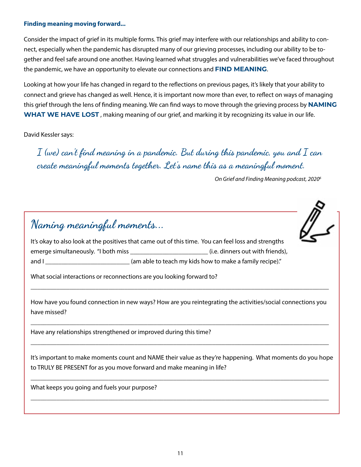### **Finding meaning moving forward...**

Consider the impact of grief in its multiple forms. This grief may interfere with our relationships and ability to connect, especially when the pandemic has disrupted many of our grieving processes, including our ability to be together and feel safe around one another. Having learned what struggles and vulnerabilities we've faced throughout the pandemic, we have an opportunity to elevate our connections and **FIND MEANING**.

Looking at how your life has changed in regard to the reflections on previous pages, it's likely that your ability to connect and grieve has changed as well. Hence, it is important now more than ever, to reflect on ways of managing this grief through the lens of finding meaning. We can find ways to move through the grieving process by **NAMING WHAT WE HAVE LOST** , making meaning of our grief, and marking it by recognizing its value in our life.

David Kessler says:

I (we) can't find meaning in a pandemic. But during this pandemic, you and I can create meaningful moments together. Let's name this as a meaningful moment.

*On Grief and Finding Meaning podcast, 20206*



How have you found connection in new ways? How are you reintegrating the activities/social connections you have missed?

\_\_\_\_\_\_\_\_\_\_\_\_\_\_\_\_\_\_\_\_\_\_\_\_\_\_\_\_\_\_\_\_\_\_\_\_\_\_\_\_\_\_\_\_\_\_\_\_\_\_\_\_\_\_\_\_\_\_\_\_\_\_\_\_\_\_\_\_\_\_\_\_\_\_\_\_\_\_\_\_\_\_\_\_\_\_\_\_\_\_\_\_

\_\_\_\_\_\_\_\_\_\_\_\_\_\_\_\_\_\_\_\_\_\_\_\_\_\_\_\_\_\_\_\_\_\_\_\_\_\_\_\_\_\_\_\_\_\_\_\_\_\_\_\_\_\_\_\_\_\_\_\_\_\_\_\_\_\_\_\_\_\_\_\_\_\_\_\_\_\_\_\_\_\_\_\_\_\_\_\_\_\_\_\_

Have any relationships strengthened or improved during this time?

It's important to make moments count and NAME their value as they're happening. What moments do you hope to TRULY BE PRESENT for as you move forward and make meaning in life?

\_\_\_\_\_\_\_\_\_\_\_\_\_\_\_\_\_\_\_\_\_\_\_\_\_\_\_\_\_\_\_\_\_\_\_\_\_\_\_\_\_\_\_\_\_\_\_\_\_\_\_\_\_\_\_\_\_\_\_\_\_\_\_\_\_\_\_\_\_\_\_\_\_\_\_\_\_\_\_\_\_\_\_\_\_\_\_\_\_\_\_\_

\_\_\_\_\_\_\_\_\_\_\_\_\_\_\_\_\_\_\_\_\_\_\_\_\_\_\_\_\_\_\_\_\_\_\_\_\_\_\_\_\_\_\_\_\_\_\_\_\_\_\_\_\_\_\_\_\_\_\_\_\_\_\_\_\_\_\_\_\_\_\_\_\_\_\_\_\_\_\_\_\_\_\_\_\_\_\_\_\_\_\_\_

What keeps you going and fuels your purpose?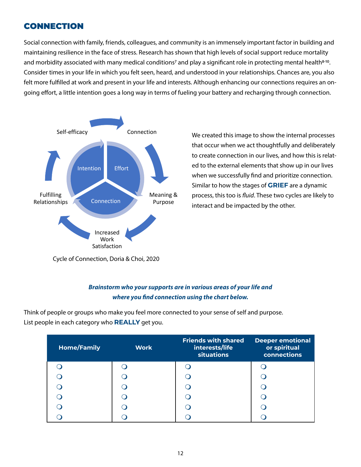## CONNECTION

Social connection with family, friends, colleagues, and community is an immensely important factor in building and maintaining resilience in the face of stress. Research has shown that high levels of social support reduce mortality and morbidity associated with many medical conditions<sup>7</sup> and play a significant role in protecting mental health<sup>8-10</sup>. Consider times in your life in which you felt seen, heard, and understood in your relationships. Chances are, you also felt more fulfilled at work and present in your life and interests. Although enhancing our connections requires an ongoing effort, a little intention goes a long way in terms of fueling your battery and recharging through connection.



We created this image to show the internal processes that occur when we act thoughtfully and deliberately to create connection in our lives, and how this is related to the external elements that show up in our lives when we successfully find and prioritize connection. Similar to how the stages of **GRIEF** are a dynamic process, this too is *fluid*. These two cycles are likely to interact and be impacted by the other.

Cycle of Connection, Doria & Choi, 2020

## *Brainstorm who your supports are in various areas of your life and where you find connection using the chart below.*

Think of people or groups who make you feel more connected to your sense of self and purpose. List people in each category who **REALLY** get you.

| <b>Home/Family</b> | <b>Work</b> | <b>Friends with shared</b><br>interests/life<br><b>situations</b> | <b>Deeper emotional</b><br>or spiritual<br>connections |
|--------------------|-------------|-------------------------------------------------------------------|--------------------------------------------------------|
|                    |             |                                                                   |                                                        |
|                    |             |                                                                   |                                                        |
|                    |             |                                                                   |                                                        |
|                    |             |                                                                   |                                                        |
|                    |             |                                                                   |                                                        |
|                    |             |                                                                   |                                                        |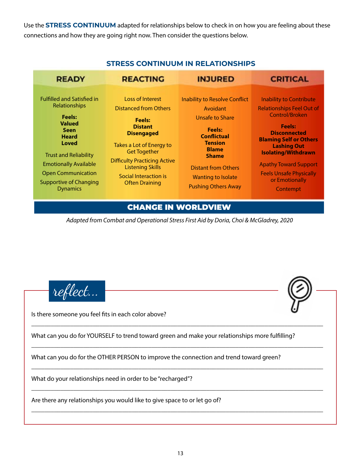Use the **STRESS CONTINUUM** adapted for relationships below to check in on how you are feeling about these connections and how they are going right now. Then consider the questions below.

| <b>READY</b>                                                                                                                                                                                                                                                                  | <b>REACTING</b>                                                                                                                                                                                                                                                                 | <b>INJURED</b>                                                                                                                                                                                                                                        | <b>CRITICAL</b>                                                                                                                                                                                                                                                                                                   |
|-------------------------------------------------------------------------------------------------------------------------------------------------------------------------------------------------------------------------------------------------------------------------------|---------------------------------------------------------------------------------------------------------------------------------------------------------------------------------------------------------------------------------------------------------------------------------|-------------------------------------------------------------------------------------------------------------------------------------------------------------------------------------------------------------------------------------------------------|-------------------------------------------------------------------------------------------------------------------------------------------------------------------------------------------------------------------------------------------------------------------------------------------------------------------|
| <b>Fulfilled and Satisfied in</b><br>Relationships<br><b>Feels:</b><br><b>Valued</b><br><b>Seen</b><br><b>Heard</b><br>Loved<br><b>Trust and Reliability</b><br><b>Emotionally Available</b><br><b>Open Communication</b><br><b>Supportive of Changing</b><br><b>Dynamics</b> | Loss of Interest<br><b>Distanced from Others</b><br><b>Feels:</b><br><b>Distant</b><br><b>Disengaged</b><br>Takes a Lot of Energy to<br><b>Get Together</b><br><b>Difficulty Practicing Active</b><br><b>Listening Skills</b><br>Social Interaction is<br><b>Often Draining</b> | <b>Inability to Resolve Conflict</b><br>Avoidant<br>Unsafe to Share<br><b>Feels:</b><br><b>Conflictual</b><br><b>Tension</b><br><b>Blame</b><br><b>Shame</b><br><b>Distant from Others</b><br><b>Wanting to Isolate</b><br><b>Pushing Others Away</b> | <b>Inability to Contribute</b><br><b>Relationships Feel Out of</b><br>Control/Broken<br><b>Feels:</b><br><b>Disconnected</b><br><b>Blaming Self or Others</b><br><b>Lashing Out</b><br><b>Isolating/Withdrawn</b><br><b>Apathy Toward Support</b><br><b>Feels Unsafe Physically</b><br>or Emotionally<br>Contempt |

## **STRESS CONTINUUM IN RELATIONSHIPS**

## CHANGE IN WORLDVIEW

*Adapted from Combat and Operational Stress First Aid by Doria, Choi & McGladrey, 2020*



Is there someone you feel fits in each color above?

What can you do for YOURSELF to trend toward green and make your relationships more fulfilling?

\_\_\_\_\_\_\_\_\_\_\_\_\_\_\_\_\_\_\_\_\_\_\_\_\_\_\_\_\_\_\_\_\_\_\_\_\_\_\_\_\_\_\_\_\_\_\_\_\_\_\_\_\_\_\_\_\_\_\_\_\_\_\_\_\_\_\_\_\_\_\_\_\_\_\_\_\_\_\_\_\_\_\_\_\_\_\_\_\_\_

\_\_\_\_\_\_\_\_\_\_\_\_\_\_\_\_\_\_\_\_\_\_\_\_\_\_\_\_\_\_\_\_\_\_\_\_\_\_\_\_\_\_\_\_\_\_\_\_\_\_\_\_\_\_\_\_\_\_\_\_\_\_\_\_\_\_\_\_\_\_\_\_\_\_\_\_\_\_\_\_\_\_\_\_\_\_\_\_\_\_

\_\_\_\_\_\_\_\_\_\_\_\_\_\_\_\_\_\_\_\_\_\_\_\_\_\_\_\_\_\_\_\_\_\_\_\_\_\_\_\_\_\_\_\_\_\_\_\_\_\_\_\_\_\_\_\_\_\_\_\_\_\_\_\_\_\_\_\_\_\_\_\_\_\_\_\_\_\_\_\_\_\_\_\_\_\_\_\_\_\_

\_\_\_\_\_\_\_\_\_\_\_\_\_\_\_\_\_\_\_\_\_\_\_\_\_\_\_\_\_\_\_\_\_\_\_\_\_\_\_\_\_\_\_\_\_\_\_\_\_\_\_\_\_\_\_\_\_\_\_\_\_\_\_\_\_\_\_\_\_\_\_\_\_\_\_\_\_\_\_\_\_\_\_\_\_\_\_\_\_\_

\_\_\_\_\_\_\_\_\_\_\_\_\_\_\_\_\_\_\_\_\_\_\_\_\_\_\_\_\_\_\_\_\_\_\_\_\_\_\_\_\_\_\_\_\_\_\_\_\_\_\_\_\_\_\_\_\_\_\_\_\_\_\_\_\_\_\_\_\_\_\_\_\_\_\_\_\_\_\_\_\_\_\_\_\_\_\_\_\_\_

What can you do for the OTHER PERSON to improve the connection and trend toward green?

What do your relationships need in order to be "recharged"?

Are there any relationships you would like to give space to or let go of?

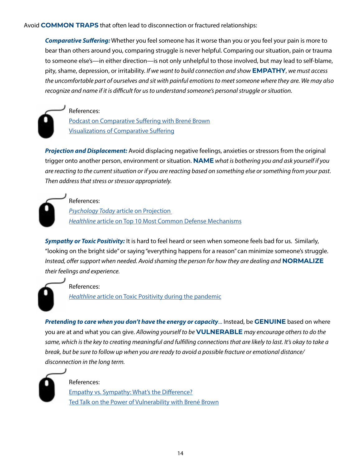Avoid **COMMON TRAPS** that often lead to disconnection or fractured relationships:

*Comparative Suffering:* Whether you feel someone has it worse than you or you feel your pain is more to bear than others around you, comparing struggle is never helpful. Comparing our situation, pain or trauma to someone else's—in either direction—is not only unhelpful to those involved, but may lead to self-blame, pity, shame, depression, or irritability. *If we want to build connection and show* **EMPATHY**, *we must access the uncomfortable part of ourselves and sit with painful emotions to meet someone where they are. We may also recognize and name if it is difficult for us to understand someone's personal struggle or situation.* 

References: [Podcast on Comparative Suffering with Brené Brown](http://brenebrown.com/podcast/brene-on-comparative-suffering-the-50-50-myth-and-settling-the-ball/) [Visualizations of Comparative Suffering](http://www.youtube.com/watch?v=LgGttG3jCpA)

*Projection and Displacement:* Avoid displacing negative feelings, anxieties or stressors from the original trigger onto another person, environment or situation. **NAME** *what is bothering you and ask yourself if you are reacting to the current situation or if you are reacting based on something else or something from your past. Then address that stress or stressor appropriately.*

References: *Psychology Today* [article on Projection](http://www.psychologytoday.com/us/basics/projection)  *Healthline* [article on Top 10 Most Common Defense Mechanisms](http://www.healthline.com/health/mental-health/defense-mechanisms#defense-mechanisms)

*Sympathy or Toxic Positivity:* It is hard to feel heard or seen when someone feels bad for us. Similarly, "looking on the bright side" or saying "everything happens for a reason" can minimize someone's struggle. *Instead, offer support when needed. Avoid shaming the person for how they are dealing and* **NORMALIZE** *their feelings and experience.*

References:

*Healthline* [article on Toxic Positivity during the pandemic](https://www.healthline.com/health/mental-health/toxic-positivity-during-the-pandemic#Toxic-positivity-is-especially-harmful-right-now)

*Pretending to care when you don't have the energy or capacity*... Instead, be **GENUINE** based on where you are at and what you can give. *Allowing yourself to be* **VULNERABLE** *may encourage others to do the same, which is the key to creating meaningful and fulfilling connections that are likely to last. It's okay to take a break, but be sure to follow up when you are ready to avoid a possible fracture or emotional distance/ disconnection in the long term.*



### References:

[Empathy vs. Sympathy: What's the Difference?](https://www.6seconds.org/2021/01/20/empathy-vs-sympathy-what-the-difference/) [Ted Talk on the Power of Vulnerability with Brené Brown](https://www.youtube.com/watch?v=iCvmsMzlF7o)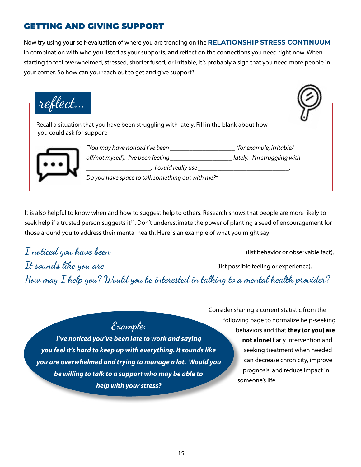## GETTING AND GIVING SUPPORT

Now try using your self-evaluation of where you are trending on the **RELATIONSHIP STRESS CONTINUUM** in combination with who you listed as your supports, and reflect on the connections you need right now. When starting to feel overwhelmed, stressed, shorter fused, or irritable, it's probably a sign that you need more people in your corner. So how can you reach out to get and give support?

Recall a situation that you have been struggling with lately. Fill in the blank about how you could ask for support: *"You may have noticed I've been \_\_\_\_\_\_\_\_\_\_\_\_\_\_\_\_\_\_\_\_ (for example, irritable/ off/not myself). I've been feeling \_\_\_\_\_\_\_\_\_\_\_\_\_\_\_\_\_\_\_ lately. I'm struggling with d* could really use *Do you have space to talk something out with me?"* reflect...

It is also helpful to know when and how to suggest help to others. Research shows that people are more likely to seek help if a trusted person suggests it<sup>11</sup>. Don't underestimate the power of planting a seed of encouragement for those around you to address their mental health. Here is an example of what you might say:

| $\bm{\mathit{I}}$ noticed you have been $\bm{\mathit{I}}$                             | (list behavior or observable fact).    |
|---------------------------------------------------------------------------------------|----------------------------------------|
| It sounds like you are_                                                               | (list possible feeling or experience). |
| How may $I$ help you? Would you be interested in talking to a mental health provider? |                                        |

## Example:

*I've noticed you've been late to work and saying you feel it's hard to keep up with everything. It sounds like you are overwhelmed and trying to manage a lot. Would you be willing to talk to a support who may be able to help with your stress?*

Consider sharing a current statistic from the following page to normalize help-seeking behaviors and that **they (or you) are not alone!** Early intervention and seeking treatment when needed can decrease chronicity, improve prognosis, and reduce impact in someone's life.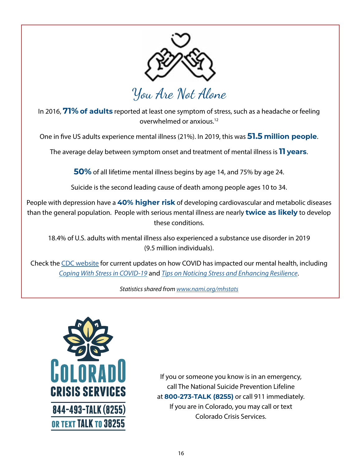

You Are Not Alone

In 2016, **71% of adults** reported at least one symptom of stress, such as a headache or feeling overwhelmed or anxious.12

One in five US adults experience mental illness (21%). In 2019, this was **51.5 million people**.

The average delay between symptom onset and treatment of mental illness is **11 years**.

**50%** of all lifetime mental illness begins by age 14, and 75% by age 24.

Suicide is the second leading cause of death among people ages 10 to 34.

People with depression have a **40% higher risk** of developing cardiovascular and metabolic diseases than the general population. People with serious mental illness are nearly **twice as likely** to develop these conditions.

18.4% of U.S. adults with mental illness also experienced a substance use disorder in 2019 (9.5 million individuals).

Check the [CDC website](https://www.cdc.gov/coronavirus/2019-ncov/daily-life-coping/managing-stress-anxiety.html
) for current updates on how COVID has impacted our mental health, including *[Coping With Stress in COVID-19](https://www.cdc.gov/coronavirus/2019-ncov/daily-life-coping/managing-stress-anxiety.html)* and *[Tips on Noticing Stress and Enhancing Resilience](https://www.cdc.gov/coronavirus/2019-ncov/hcp/mental-health-healthcare.html)*.

*Statistics shared from [www.nami.org/mhstats](http://www.nami.org/mhstats)*



If you or someone you know is in an emergency, call The National Suicide Prevention Lifeline at **800-273-TALK (8255)** or call 911 immediately. If you are in Colorado, you may call or text Colorado Crisis Services.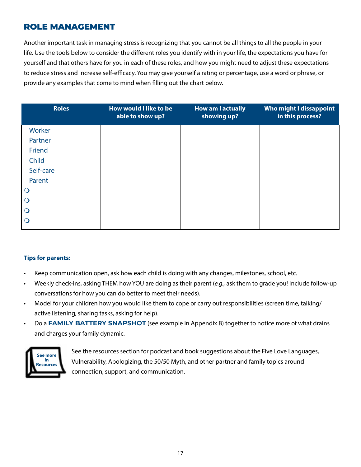## ROLE MANAGEMENT

Another important task in managing stress is recognizing that you cannot be all things to all the people in your life. Use the tools below to consider the different roles you identify with in your life, the expectations you have for yourself and that others have for you in each of these roles, and how you might need to adjust these expectations to reduce stress and increase self-efficacy. You may give yourself a rating or percentage, use a word or phrase, or provide any examples that come to mind when filling out the chart below.

| <b>Roles</b>   | How would I like to be<br>able to show up? | <b>How am I actually</b><br>showing up? | Who might I dissappoint<br>in this process? |
|----------------|--------------------------------------------|-----------------------------------------|---------------------------------------------|
| Worker         |                                            |                                         |                                             |
| Partner        |                                            |                                         |                                             |
| Friend         |                                            |                                         |                                             |
| Child          |                                            |                                         |                                             |
| Self-care      |                                            |                                         |                                             |
| Parent         |                                            |                                         |                                             |
| $\bigcirc$     |                                            |                                         |                                             |
| $\bigcirc$     |                                            |                                         |                                             |
| $\overline{O}$ |                                            |                                         |                                             |
| $\bigcirc$     |                                            |                                         |                                             |

### **Tips for parents:**

- Keep communication open, ask how each child is doing with any changes, milestones, school, etc.
- Weekly check-ins, asking THEM how YOU are doing as their parent (*e.g.,* ask them to grade you! Include follow-up conversations for how you can do better to meet their needs).
- Model for your children how you would like them to cope or carry out responsibilities (screen time, talking/ active listening, sharing tasks, asking for help).
- Do a **FAMILY BATTERY SNAPSHOT** (see example in Appendix B) together to notice more of what drains and charges your family dynamic.



See the resources section for podcast and book suggestions about the Five Love Languages, Vulnerability, Apologizing, the 50/50 Myth, and other partner and family topics around connection, support, and communication.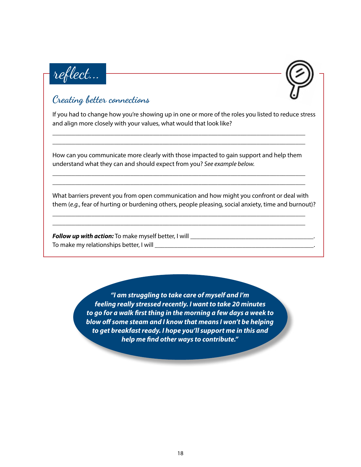



## Creating better connections

If you had to change how you're showing up in one or more of the roles you listed to reduce stress and align more closely with your values, what would that look like?

How can you communicate more clearly with those impacted to gain support and help them understand what they can and should expect from you? *See example below.*

\_\_\_\_\_\_\_\_\_\_\_\_\_\_\_\_\_\_\_\_\_\_\_\_\_\_\_\_\_\_\_\_\_\_\_\_\_\_\_\_\_\_\_\_\_\_\_\_\_\_\_\_\_\_\_\_\_\_\_\_\_\_\_\_\_\_\_\_\_\_\_\_\_\_\_\_\_\_ \_\_\_\_\_\_\_\_\_\_\_\_\_\_\_\_\_\_\_\_\_\_\_\_\_\_\_\_\_\_\_\_\_\_\_\_\_\_\_\_\_\_\_\_\_\_\_\_\_\_\_\_\_\_\_\_\_\_\_\_\_\_\_\_\_\_\_\_\_\_\_\_\_\_\_\_\_\_

\_\_\_\_\_\_\_\_\_\_\_\_\_\_\_\_\_\_\_\_\_\_\_\_\_\_\_\_\_\_\_\_\_\_\_\_\_\_\_\_\_\_\_\_\_\_\_\_\_\_\_\_\_\_\_\_\_\_\_\_\_\_\_\_\_\_\_\_\_\_\_\_\_\_\_\_\_\_ \_\_\_\_\_\_\_\_\_\_\_\_\_\_\_\_\_\_\_\_\_\_\_\_\_\_\_\_\_\_\_\_\_\_\_\_\_\_\_\_\_\_\_\_\_\_\_\_\_\_\_\_\_\_\_\_\_\_\_\_\_\_\_\_\_\_\_\_\_\_\_\_\_\_\_\_\_\_

\_\_\_\_\_\_\_\_\_\_\_\_\_\_\_\_\_\_\_\_\_\_\_\_\_\_\_\_\_\_\_\_\_\_\_\_\_\_\_\_\_\_\_\_\_\_\_\_\_\_\_\_\_\_\_\_\_\_\_\_\_\_\_\_\_\_\_\_\_\_\_\_\_\_\_\_\_\_ \_\_\_\_\_\_\_\_\_\_\_\_\_\_\_\_\_\_\_\_\_\_\_\_\_\_\_\_\_\_\_\_\_\_\_\_\_\_\_\_\_\_\_\_\_\_\_\_\_\_\_\_\_\_\_\_\_\_\_\_\_\_\_\_\_\_\_\_\_\_\_\_\_\_\_\_\_\_

What barriers prevent you from open communication and how might you confront or deal with them (*e.g.*, fear of hurting or burdening others, people pleasing, social anxiety, time and burnout)?

*Follow up with action:* To make myself better, I will \_\_\_\_\_\_\_\_\_\_\_\_\_\_\_\_\_\_\_\_\_\_\_\_\_\_\_\_\_\_\_\_\_\_\_\_\_\_. To make my relationships better, I will \_\_\_\_\_\_\_\_\_\_\_\_\_\_\_\_\_\_\_\_\_\_\_\_\_\_\_\_\_\_\_\_\_\_\_\_\_\_\_\_\_\_\_\_\_\_\_\_\_.

> *"I am struggling to take care of myself and I'm feeling really stressed recently. I want to take 20 minutes to go for a walk first thing in the morning a few days a week to blow off some steam and I know that means I won't be helping to get breakfast ready. I hope you'll support me in this and help me find other ways to contribute."*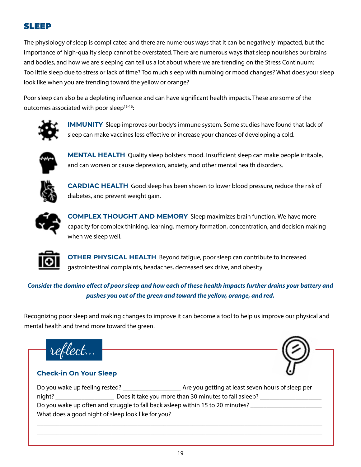## SLEEP

The physiology of sleep is complicated and there are numerous ways that it can be negatively impacted, but the importance of high-quality sleep cannot be overstated. There are numerous ways that sleep nourishes our brains and bodies, and how we are sleeping can tell us a lot about where we are trending on the Stress Continuum: Too little sleep due to stress or lack of time? Too much sleep with numbing or mood changes? What does your sleep look like when you are trending toward the yellow or orange?

Poor sleep can also be a depleting influence and can have significant health impacts. These are some of the outcomes associated with poor sleep<sup>13-16</sup>:



**IMMUNITY** Sleep improves our body's immune system. Some studies have found that lack of sleep can make vaccines less effective or increase your chances of developing a cold.



**MENTAL HEALTH** Quality sleep bolsters mood. Insufficient sleep can make people irritable, and can worsen or cause depression, anxiety, and other mental health disorders.



**CARDIAC HEALTH** Good sleep has been shown to lower blood pressure, reduce the risk of diabetes, and prevent weight gain.



**COMPLEX THOUGHT AND MEMORY** Sleep maximizes brain function. We have more capacity for complex thinking, learning, memory formation, concentration, and decision making when we sleep well.



**OTHER PHYSICAL HEALTH** Beyond fatigue, poor sleep can contribute to increased gastrointestinal complaints, headaches, decreased sex drive, and obesity.

## *Consider the domino effect of poor sleep and how each of these health impacts further drains your battery and pushes you out of the green and toward the yellow, orange, and red.*

Recognizing poor sleep and making changes to improve it can become a tool to help us improve our physical and mental health and trend more toward the green.

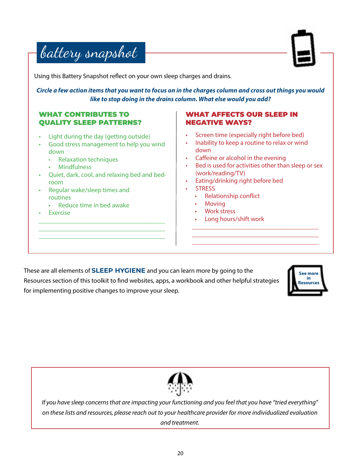



Using this Battery Snapshot reflect on your own sleep charges and drains.

*Circle a few action items that you want to focus on in the charges column and cross out things you would like to stop doing in the drains column. What else would you add?*

## WHAT CONTRIBUTES TO QUALITY SLEEP PATTERNS?

- Light during the day (getting outside)
- Good stress management to help you wind down
	- Relaxation techniques
	- Mindfulness
- Quiet, dark, cool, and relaxing bed and bedroom

\_\_\_\_\_\_\_\_\_\_\_\_\_\_\_\_\_\_\_\_\_\_\_\_\_\_\_\_\_\_\_\_\_\_\_\_\_\_\_ \_\_\_\_\_\_\_\_\_\_\_\_\_\_\_\_\_\_\_\_\_\_\_\_\_\_\_\_\_\_\_\_\_\_\_\_\_\_\_ \_\_\_\_\_\_\_\_\_\_\_\_\_\_\_\_\_\_\_\_\_\_\_\_\_\_\_\_\_\_\_\_\_\_\_\_\_\_\_

- Regular wake/sleep times and routines
	- Reduce time in bed awake
- **Exercise**

## WHAT AFFECTS OUR SLEEP IN NEGATIVE WAYS?

- Screen time (especially right before bed)
- Inability to keep a routine to relax or wind down
- Caffeine or alcohol in the evening
- Bed is used for activities other than sleep or sex (work/reading/TV)

\_\_\_\_\_\_\_\_\_\_\_\_\_\_\_\_\_\_\_\_\_\_\_\_\_\_\_\_\_\_\_\_\_\_\_\_\_\_\_ \_\_\_\_\_\_\_\_\_\_\_\_\_\_\_\_\_\_\_\_\_\_\_\_\_\_\_\_\_\_\_\_\_\_\_\_\_\_\_ \_\_\_\_\_\_\_\_\_\_\_\_\_\_\_\_\_\_\_\_\_\_\_\_\_\_\_\_\_\_\_\_\_\_\_\_\_\_\_

- Eating/drinking right before bed
- STRESS
	- Relationship conflict
	- Moving
	- Work stress
	- Long hours/shift work

These are all elements of **SLEEP HYGIENE** and you can learn more by going to the Resources section of this toolkit to find websites, apps, a workbook and other helpful strategies for implementing positive changes to improve your sleep.





*If you have sleep concerns that are impacting your functioning and you feel that you have "tried everything" on these lists and resources, please reach out to your healthcare provider for more individualized evaluation and treatment.*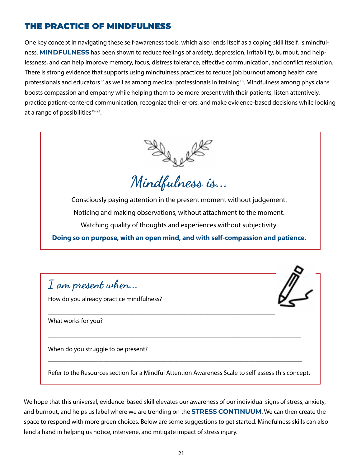## THE PRACTICE OF MINDFULNESS

One key concept in navigating these self-awareness tools, which also lends itself as a coping skill itself, is mindfulness. **MINDFULNESS** has been shown to reduce feelings of anxiety, depression, irritability, burnout, and helplessness, and can help improve memory, focus, distress tolerance, effective communication, and conflict resolution. There is strong evidence that supports using mindfulness practices to reduce job burnout among health care professionals and educators<sup>17</sup> as well as among medical professionals in training<sup>18</sup>. Mindfulness among physicians boosts compassion and empathy while helping them to be more present with their patients, listen attentively, practice patient-centered communication, recognize their errors, and make evidence-based decisions while looking at a range of possibilities $19-23$ .



Consciously paying attention in the present moment without judgement. Noticing and making observations, without attachment to the moment. Watching quality of thoughts and experiences without subjectivity.

**Doing so on purpose, with an open mind, and with self-compassion and patience.**



We hope that this universal, evidence-based skill elevates our awareness of our individual signs of stress, anxiety, and burnout, and helps us label where we are trending on the **STRESS CONTINUUM**. We can then create the space to respond with more green choices. Below are some suggestions to get started. Mindfulness skills can also lend a hand in helping us notice, intervene, and mitigate impact of stress injury.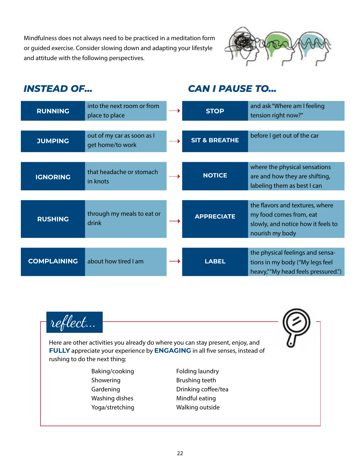Mindfulness does not always need to be practiced in a meditation form or guided exercise. Consider slowing down and adapting your lifestyle and attitude with the following perspectives.



## *INSTEAD OF...*

## *CAN I PAUSE TO...*

| <b>RUNNING</b>     | into the next room or from<br>place to place   | <b>STOP</b>              | and ask "Where am I feeling<br>tension right now?"                                                                  |
|--------------------|------------------------------------------------|--------------------------|---------------------------------------------------------------------------------------------------------------------|
|                    |                                                |                          |                                                                                                                     |
| <b>JUMPING</b>     | out of my car as soon as I<br>get home/to work | <b>SIT &amp; BREATHE</b> | before I get out of the car                                                                                         |
|                    |                                                |                          |                                                                                                                     |
| <b>IGNORING</b>    | that headache or stomach<br>in knots           | <b>NOTICE</b>            | where the physical sensations<br>are and how they are shifting,<br>labeling them as best I can                      |
|                    |                                                |                          |                                                                                                                     |
| <b>RUSHING</b>     | through my meals to eat or<br>drink            | <b>APPRECIATE</b>        | the flavors and textures, where<br>my food comes from, eat<br>slowly, and notice how it feels to<br>nourish my body |
|                    |                                                |                          |                                                                                                                     |
| <b>COMPLAINING</b> | about how tired I am                           | <b>LABEL</b>             | the physical feelings and sensa-<br>tions in my body ("My legs feel<br>heavy," "My head feels pressured.")          |

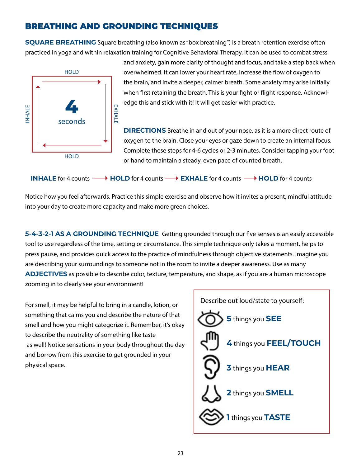## BREATHING AND GROUNDING TECHNIQUES

**SQUARE BREATHING** Square breathing (also known as "box breathing") is a breath retention exercise often practiced in yoga and within relaxation training for Cognitive Behavioral Therapy. It can be used to combat stress



and anxiety, gain more clarity of thought and focus, and take a step back when overwhelmed. It can lower your heart rate, increase the flow of oxygen to the brain, and invite a deeper, calmer breath. Some anxiety may arise initially when first retaining the breath. This is your fight or flight response. Acknowledge this and stick with it! It will get easier with practice.

**DIRECTIONS** Breathe in and out of your nose, as it is a more direct route of oxygen to the brain. Close your eyes or gaze down to create an internal focus. Complete these steps for 4-6 cycles or 2-3 minutes. Consider tapping your foot or hand to maintain a steady, even pace of counted breath.

|  |  | <b>INHALE</b> for 4 counts $\longrightarrow$ <b>HOLD</b> for 4 counts $\longrightarrow$ <b>EXHALE</b> for 4 counts $\longrightarrow$ <b>HOLD</b> for 4 counts |  |
|--|--|---------------------------------------------------------------------------------------------------------------------------------------------------------------|--|
|--|--|---------------------------------------------------------------------------------------------------------------------------------------------------------------|--|

Notice how you feel afterwards. Practice this simple exercise and observe how it invites a present, mindful attitude into your day to create more capacity and make more green choices.

**5-4-3-2-1 AS A GROUNDING TECHNIQUE** Getting grounded through our five senses is an easily accessible tool to use regardless of the time, setting or circumstance. This simple technique only takes a moment, helps to press pause, and provides quick access to the practice of mindfulness through objective statements. Imagine you are describing your surroundings to someone not in the room to invite a deeper awareness. Use as many **ADJECTIVES** as possible to describe color, texture, temperature, and shape, as if you are a human microscope zooming in to clearly see your environment!

For smell, it may be helpful to bring in a candle, lotion, or something that calms you and describe the nature of that smell and how you might categorize it. Remember, it's okay to describe the neutrality of something like taste as well! Notice sensations in your body throughout the day and borrow from this exercise to get grounded in your physical space.

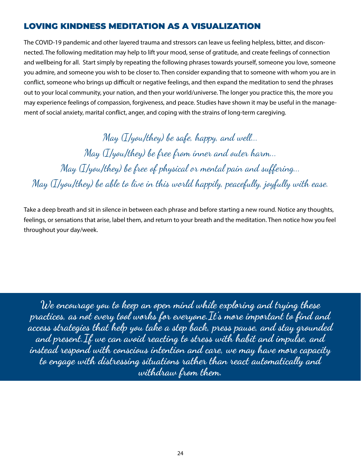## LOVING KINDNESS MEDITATION AS A VISUALIZATION

The COVID-19 pandemic and other layered trauma and stressors can leave us feeling helpless, bitter, and disconnected. The following meditation may help to lift your mood, sense of gratitude, and create feelings of connection and wellbeing for all. Start simply by repeating the following phrases towards yourself, someone you love, someone you admire, and someone you wish to be closer to. Then consider expanding that to someone with whom you are in conflict, someone who brings up difficult or negative feelings, and then expand the meditation to send the phrases out to your local community, your nation, and then your world/universe. The longer you practice this, the more you may experience feelings of compassion, forgiveness, and peace. Studies have shown it may be useful in the management of social anxiety, marital conflict, anger, and coping with the strains of long-term caregiving.

May (I/you/they) be safe, happy, and well... May (I/you/they) be free from inner and outer harm... May (I/you/they) be free of physical or mental pain and suffering... May (I/you/they) be able to live in this world happily, peacefully, joyfully with ease.

Take a deep breath and sit in silence in between each phrase and before starting a new round. Notice any thoughts, feelings, or sensations that arise, label them, and return to your breath and the meditation. Then notice how you feel throughout your day/week.

We encourage you to keep an open mind while exploring and trying these practices, as not every tool works for everyone.It's more important to find and access strategies that help you take a step back, press pause, and stay grounded and present.If we can avoid reacting to stress with habit and impulse, and instead respond with conscious intention and care, we may have more capacity to engage with distressing situations rather than react automatically and withdraw from them.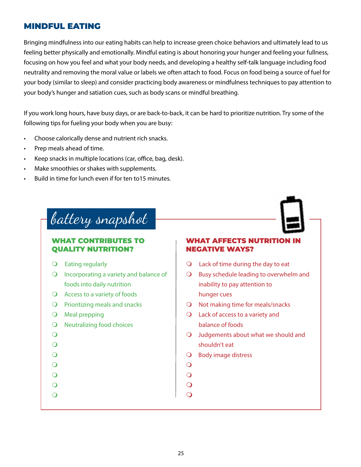## MINDFUL EATING

Bringing mindfulness into our eating habits can help to increase green choice behaviors and ultimately lead to us feeling better physically and emotionally. Mindful eating is about honoring your hunger and feeling your fullness, focusing on how you feel and what your body needs, and developing a healthy self-talk language including food neutrality and removing the moral value or labels we often attach to food. Focus on food being a source of fuel for your body (similar to sleep) and consider practicing body awareness or mindfulness techniques to pay attention to your body's hunger and satiation cues, such as body scans or mindful breathing.

If you work long hours, have busy days, or are back-to-back, it can be hard to prioritize nutrition. Try some of the following tips for fueling your body when you are busy:

- Choose calorically dense and nutrient rich snacks.
- Prep meals ahead of time.
- Keep snacks in multiple locations (car, office, bag, desk).
- Make smoothies or shakes with supplements.
- Build in time for lunch even if for ten to15 minutes.

# battery snapshot

## WHAT CONTRIBUTES TO QUALITY NUTRITION?

- $\bigcirc$  Eating regularly
- $\Omega$  Incorporating a variety and balance of foods into daily nutrition
- $\bigcirc$  Access to a variety of foods
- $\Omega$  Prioritizing meals and snacks
- $\bigcirc$  Meal prepping
- $\Omega$  Neutralizing food choices
- $\overline{O}$
- $\overline{O}$
- $\overline{O}$
- $\overline{O}$
- $\Omega$
- $\overline{O}$
- $\overline{O}$

## WHAT AFFECTS NUTRITION IN NEGATIVE WAYS?

- $\Omega$  Lack of time during the day to eat
- $\Omega$  Busy schedule leading to overwhelm and inability to pay attention to hunger cues
- $\bigcirc$  Not making time for meals/snacks
- $\Omega$  Lack of access to a variety and balance of foods
- $\bigcirc$  Judgements about what we should and shouldn't eat
- $\bigcirc$  Body image distress
- $\overline{O}$
- $\overline{O}$
- $\overline{O}$
- $\Omega$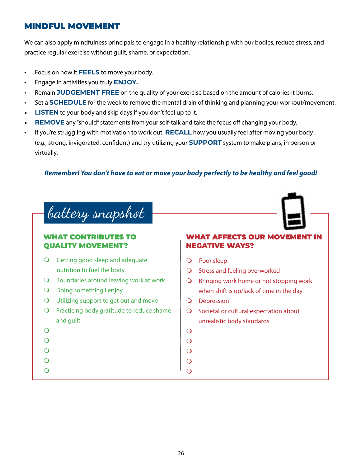## MINDFUL MOVEMENT

We can also apply mindfulness principals to engage in a healthy relationship with our bodies, reduce stress, and practice regular exercise without guilt, shame, or expectation.

- Focus on how it **FEELS** to move your body.
- Engage in activities you truly **ENJOY.**
- Remain **JUDGEMENT FREE** on the quality of your exercise based on the amount of calories it burns.
- Set a **SCHEDULE** for the week to remove the mental drain of thinking and planning your workout/movement.
- **LISTEN** to your body and skip days if you don't feel up to it.
- **REMOVE** any "should" statements from your self-talk and take the focus off changing your body.
- If you're struggling with motivation to work out, **RECALL** how you usually feel after moving your body . (*e.g.,* strong, invigorated, confident) and try utilizing your **SUPPORT** system to make plans, in person or virtually.

## *Remember! You don't have to eat or move your body perfectly to be healthy and feel good!*

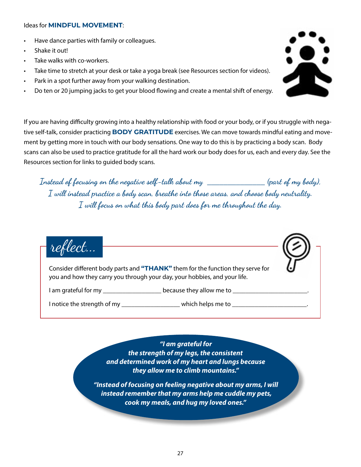### Ideas for **MINDFUL MOVEMENT**:

- Have dance parties with family or colleagues.
- Shake it out!
- Take walks with co-workers.
- Take time to stretch at your desk or take a yoga break (see Resources section for videos).
- Park in a spot further away from your walking destination.
- Do ten or 20 jumping jacks to get your blood flowing and create a mental shift of energy.

If you are having difficulty growing into a healthy relationship with food or your body, or if you struggle with negative self-talk, consider practicing **BODY GRATITUDE** exercises. We can move towards mindful eating and movement by getting more in touch with our body sensations. One way to do this is by practicing a body scan. Body scans can also be used to practice gratitude for all the hard work our body does for us, each and every day. See the Resources section for links to guided body scans.

Instead of focusing on the negative self-talk about my **\_\_\_\_\_\_\_\_\_\_\_\_\_\_** (part of my body), I will instead practice a body scan, breathe into those areas, and choose body neutrality.  $I$  will focus on what this body part does for me throughout the day.



Consider different body parts and **"THANK"** them for the function they serve for you and how they carry you through your day, your hobbies, and your life.

I am grateful for my \_\_\_\_\_\_\_\_\_\_\_\_\_\_\_\_\_\_\_\_\_\_\_ because they allow me to \_\_\_\_\_\_\_\_\_\_

I notice the strength of my \_\_\_\_\_\_\_\_\_\_\_\_\_\_\_\_\_\_\_\_\_\_\_ which helps me to \_\_\_\_\_\_\_\_\_\_\_

*"I am grateful for the strength of my legs, the consistent and determined work of my heart and lungs because they allow me to climb mountains."*

*"Instead of focusing on feeling negative about my arms, I will instead remember that my arms help me cuddle my pets, cook my meals, and hug my loved ones."*

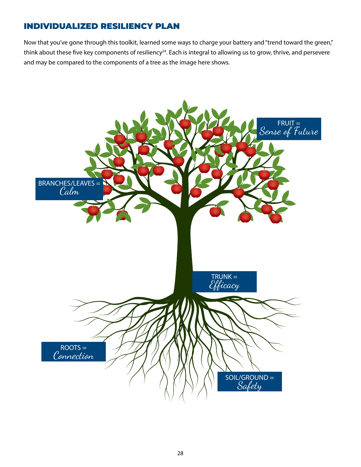## INDIVIDUALIZED RESILIENCY PLAN

Now that you've gone through this toolkit, learned some ways to charge your battery and "trend toward the green," think about these five key components of resiliency<sup>24</sup>. Each is integral to allowing us to grow, thrive, and persevere and may be compared to the components of a tree as the image here shows.

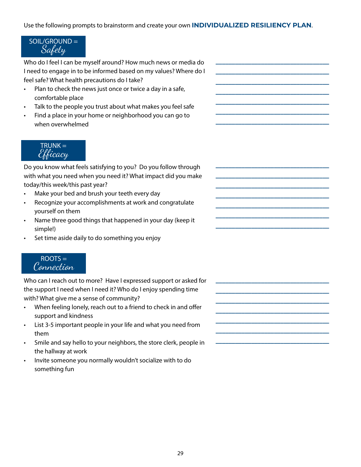Use the following prompts to brainstorm and create your own **INDIVIDUALIZED RESILIENCY PLAN**.

**\_\_\_\_\_\_\_\_\_\_\_\_\_\_\_\_\_\_\_\_\_\_\_\_\_\_\_\_\_\_\_\_\_\_\_ \_\_\_\_\_\_\_\_\_\_\_\_\_\_\_\_\_\_\_\_\_\_\_\_\_\_\_\_\_\_\_\_\_\_\_ \_\_\_\_\_\_\_\_\_\_\_\_\_\_\_\_\_\_\_\_\_\_\_\_\_\_\_\_\_\_\_\_\_\_\_ \_\_\_\_\_\_\_\_\_\_\_\_\_\_\_\_\_\_\_\_\_\_\_\_\_\_\_\_\_\_\_\_\_\_\_ \_\_\_\_\_\_\_\_\_\_\_\_\_\_\_\_\_\_\_\_\_\_\_\_\_\_\_\_\_\_\_\_\_\_\_ \_\_\_\_\_\_\_\_\_\_\_\_\_\_\_\_\_\_\_\_\_\_\_\_\_\_\_\_\_\_\_\_\_\_\_ \_\_\_\_\_\_\_\_\_\_\_\_\_\_\_\_\_\_\_\_\_\_\_\_\_\_\_\_\_\_\_\_\_\_\_**

**\_\_\_\_\_\_\_\_\_\_\_\_\_\_\_\_\_\_\_\_\_\_\_\_\_\_\_\_\_\_\_\_\_\_\_ \_\_\_\_\_\_\_\_\_\_\_\_\_\_\_\_\_\_\_\_\_\_\_\_\_\_\_\_\_\_\_\_\_\_\_ \_\_\_\_\_\_\_\_\_\_\_\_\_\_\_\_\_\_\_\_\_\_\_\_\_\_\_\_\_\_\_\_\_\_\_ \_\_\_\_\_\_\_\_\_\_\_\_\_\_\_\_\_\_\_\_\_\_\_\_\_\_\_\_\_\_\_\_\_\_\_ \_\_\_\_\_\_\_\_\_\_\_\_\_\_\_\_\_\_\_\_\_\_\_\_\_\_\_\_\_\_\_\_\_\_\_ \_\_\_\_\_\_\_\_\_\_\_\_\_\_\_\_\_\_\_\_\_\_\_\_\_\_\_\_\_\_\_\_\_\_\_ \_\_\_\_\_\_\_\_\_\_\_\_\_\_\_\_\_\_\_\_\_\_\_\_\_\_\_\_\_\_\_\_\_\_\_**

**\_\_\_\_\_\_\_\_\_\_\_\_\_\_\_\_\_\_\_\_\_\_\_\_\_\_\_\_\_\_\_\_\_\_\_ \_\_\_\_\_\_\_\_\_\_\_\_\_\_\_\_\_\_\_\_\_\_\_\_\_\_\_\_\_\_\_\_\_\_\_ \_\_\_\_\_\_\_\_\_\_\_\_\_\_\_\_\_\_\_\_\_\_\_\_\_\_\_\_\_\_\_\_\_\_\_ \_\_\_\_\_\_\_\_\_\_\_\_\_\_\_\_\_\_\_\_\_\_\_\_\_\_\_\_\_\_\_\_\_\_\_ \_\_\_\_\_\_\_\_\_\_\_\_\_\_\_\_\_\_\_\_\_\_\_\_\_\_\_\_\_\_\_\_\_\_\_ \_\_\_\_\_\_\_\_\_\_\_\_\_\_\_\_\_\_\_\_\_\_\_\_\_\_\_\_\_\_\_\_\_\_\_ \_\_\_\_\_\_\_\_\_\_\_\_\_\_\_\_\_\_\_\_\_\_\_\_\_\_\_\_\_\_\_\_\_\_\_**

## $SOL/GROUND =$ Safety

Who do I feel I can be myself around? How much news or media do I need to engage in to be informed based on my values? Where do I feel safe? What health precautions do I take?

- Plan to check the news just once or twice a day in a safe, comfortable place
- Talk to the people you trust about what makes you feel safe
- Find a place in your home or neighborhood you can go to when overwhelmed



Do you know what feels satisfying to you? Do you follow through with what you need when you need it? What impact did you make today/this week/this past year?

- Make your bed and brush your teeth every day
- Recognize your accomplishments at work and congratulate yourself on them
- Name three good things that happened in your day (keep it simple!)
- Set time aside daily to do something you enjoy



Who can I reach out to more? Have I expressed support or asked for the support I need when I need it? Who do I enjoy spending time with? What give me a sense of community?

- When feeling lonely, reach out to a friend to check in and offer support and kindness
- List 3-5 important people in your life and what you need from them
- Smile and say hello to your neighbors, the store clerk, people in the hallway at work
- Invite someone you normally wouldn't socialize with to do something fun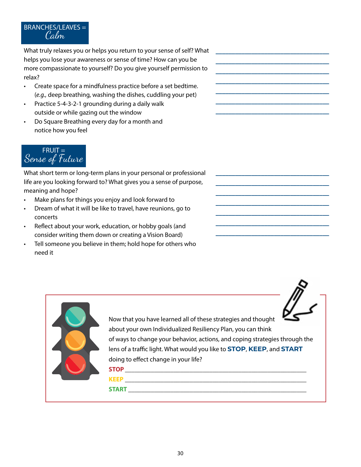## **CALM** BRANCHES/LEAVES = Calm

What truly relaxes you or helps you return to your sense of self? What helps you lose your awareness or sense of time? How can you be more compassionate to yourself? Do you give yourself permission to relax?

- Create space for a mindfulness practice before a set bedtime. (*e.g.,* deep breathing, washing the dishes, cuddling your pet)
- Practice 5-4-3-2-1 grounding during a daily walk outside or while gazing out the window
- Do Square Breathing every day for a month and notice how you feel



What short term or long-term plans in your personal or professional life are you looking forward to? What gives you a sense of purpose, meaning and hope?

- Make plans for things you enjoy and look forward to
- Dream of what it will be like to travel, have reunions, go to concerts
- Reflect about your work, education, or hobby goals (and consider writing them down or creating a Vision Board)
- Tell someone you believe in them; hold hope for others who need it

| Now that you have learned all of these strategies and thought<br>about your own Individualized Resiliency Plan, you can think<br>of ways to change your behavior, actions, and coping strategies through the<br>lens of a traffic light. What would you like to STOP, KEEP, and START<br>doing to effect change in your life?<br><b>STOP</b><br><b>KEEP</b> |
|-------------------------------------------------------------------------------------------------------------------------------------------------------------------------------------------------------------------------------------------------------------------------------------------------------------------------------------------------------------|
| <b>START</b>                                                                                                                                                                                                                                                                                                                                                |

**\_\_\_\_\_\_\_\_\_\_\_\_\_\_\_\_\_\_\_\_\_\_\_\_\_\_\_\_\_\_\_\_\_\_\_ \_\_\_\_\_\_\_\_\_\_\_\_\_\_\_\_\_\_\_\_\_\_\_\_\_\_\_\_\_\_\_\_\_\_\_ \_\_\_\_\_\_\_\_\_\_\_\_\_\_\_\_\_\_\_\_\_\_\_\_\_\_\_\_\_\_\_\_\_\_\_ \_\_\_\_\_\_\_\_\_\_\_\_\_\_\_\_\_\_\_\_\_\_\_\_\_\_\_\_\_\_\_\_\_\_\_ \_\_\_\_\_\_\_\_\_\_\_\_\_\_\_\_\_\_\_\_\_\_\_\_\_\_\_\_\_\_\_\_\_\_\_ \_\_\_\_\_\_\_\_\_\_\_\_\_\_\_\_\_\_\_\_\_\_\_\_\_\_\_\_\_\_\_\_\_\_\_ \_\_\_\_\_\_\_\_\_\_\_\_\_\_\_\_\_\_\_\_\_\_\_\_\_\_\_\_\_\_\_\_\_\_\_**

**\_\_\_\_\_\_\_\_\_\_\_\_\_\_\_\_\_\_\_\_\_\_\_\_\_\_\_\_\_\_\_\_\_\_\_ \_\_\_\_\_\_\_\_\_\_\_\_\_\_\_\_\_\_\_\_\_\_\_\_\_\_\_\_\_\_\_\_\_\_\_ \_\_\_\_\_\_\_\_\_\_\_\_\_\_\_\_\_\_\_\_\_\_\_\_\_\_\_\_\_\_\_\_\_\_\_ \_\_\_\_\_\_\_\_\_\_\_\_\_\_\_\_\_\_\_\_\_\_\_\_\_\_\_\_\_\_\_\_\_\_\_ \_\_\_\_\_\_\_\_\_\_\_\_\_\_\_\_\_\_\_\_\_\_\_\_\_\_\_\_\_\_\_\_\_\_\_ \_\_\_\_\_\_\_\_\_\_\_\_\_\_\_\_\_\_\_\_\_\_\_\_\_\_\_\_\_\_\_\_\_\_\_ \_\_\_\_\_\_\_\_\_\_\_\_\_\_\_\_\_\_\_\_\_\_\_\_\_\_\_\_\_\_\_\_\_\_\_**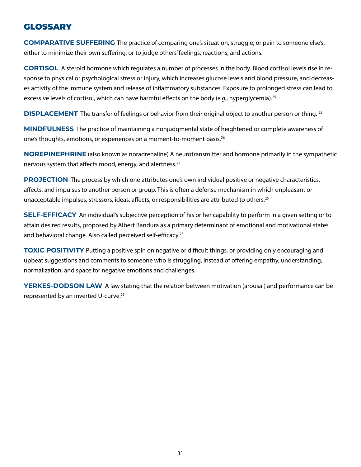## **GLOSSARY**

**COMPARATIVE SUFFERING** The practice of comparing one's situation, struggle, or pain to someone else's, either to minimize their own suffering, or to judge others' feelings, reactions, and actions.

**CORTISOL** A steroid hormone which regulates a number of processes in the body. Blood cortisol levels rise in response to physical or psychological stress or injury, which increases glucose levels and blood pressure, and decreases activity of the immune system and release of inflammatory substances. Exposure to prolonged stress can lead to excessive levels of cortisol, which can have harmful effects on the body (*e.g.*, hyperglycemia).25

**DISPLACEMENT** The transfer of feelings or behavior from their original object to another person or thing. <sup>25</sup>

**MINDFULNESS** The practice of maintaining a nonjudgmental state of heightened or complete awareness of one's thoughts, emotions, or experiences on a moment-to-moment basis.26

**NOREPINEPHRINE** (also known as noradrenaline) A neurotransmitter and hormone primarily in the sympathetic nervous system that affects mood, energy, and alertness.<sup>27</sup>

**PROJECTION** The process by which one attributes one's own individual positive or negative characteristics, affects, and impulses to another person or group. This is often a defense mechanism in which unpleasant or unacceptable impulses, stressors, ideas, affects, or responsibilities are attributed to others.<sup>25</sup>

**SELF-EFFICACY** An individual's subjective perception of his or her capability to perform in a given setting or to attain desired results, proposed by Albert Bandura as a primary determinant of emotional and motivational states and behavioral change. Also called perceived self-efficacy.<sup>25</sup>

**TOXIC POSITIVITY** Putting a positive spin on negative or difficult things, or providing only encouraging and upbeat suggestions and comments to someone who is struggling, instead of offering empathy, understanding, normalization, and space for negative emotions and challenges.

**YERKES-DODSON LAW** A law stating that the relation between motivation (arousal) and performance can be represented by an inverted U-curve.25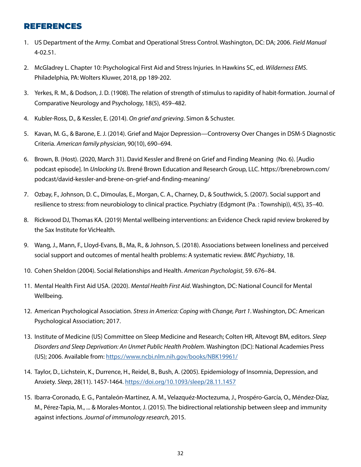## REFERENCES

- 1. US Department of the Army. Combat and Operational Stress Control. Washington, DC: DA; 2006. *Field Manual* 4-02.51.
- 2. McGladrey L. Chapter 10: Psychological First Aid and Stress Injuries. In Hawkins SC, ed. *Wilderness EMS*. Philadelphia, PA: Wolters Kluwer, 2018, pp 189-202.
- 3. Yerkes, R. M., & Dodson, J. D. (1908). The relation of strength of stimulus to rapidity of habit-formation. Journal of Comparative Neurology and Psychology, 18(5), 459–482.
- 4. Kubler-Ross, D., & Kessler, E. (2014). *On grief and grieving*. Simon & Schuster.
- 5. Kavan, M. G., & Barone, E. J. (2014). Grief and Major Depression—Controversy Over Changes in DSM-5 Diagnostic Criteria. *American family physician*, 90(10), 690–694.
- 6. Brown, B. (Host). (2020, March 31). David Kessler and Brené on Grief and Finding Meaning (No. 6). [Audio podcast episode]. In *Unlocking Us*. Brené Brown Education and Research Group, LLC. https://brenebrown.com/ podcast/david-kessler-and-brene-on-grief-and-finding-meaning/
- 7. Ozbay, F., Johnson, D. C., Dimoulas, E., Morgan, C. A., Charney, D., & Southwick, S. (2007). Social support and resilience to stress: from neurobiology to clinical practice. Psychiatry (Edgmont (Pa. : Township)), 4(5), 35–40.
- 8. Rickwood DJ, Thomas KA. (2019) Mental wellbeing interventions: an Evidence Check rapid review brokered by the Sax Institute for VicHealth.
- 9. Wang, J., Mann, F., Lloyd-Evans, B., Ma, R., & Johnson, S. (2018). Associations between loneliness and perceived social support and outcomes of mental health problems: A systematic review. *BMC Psychiatry*, 18.
- 10. Cohen Sheldon (2004). Social Relationships and Health. *American Psychologist*, 59. 676–84.
- 11. Mental Health First Aid USA. (2020). *Mental Health First Aid*. Washington, DC: National Council for Mental Wellbeing.
- 12. American Psychological Association. *Stress in America: Coping with Change, Part 1*. Washington, DC: American Psychological Association; 2017.
- 13. Institute of Medicine (US) Committee on Sleep Medicine and Research; Colten HR, Altevogt BM, editors. *Sleep Disorders and Sleep Deprivation: An Unmet Public Health Problem*. Washington (DC): National Academies Press (US); 2006. Available from: <https://www.ncbi.nlm.nih.gov/books/NBK19961/>
- 14. Taylor, D., Lichstein, K., Durrence, H., Reidel, B., Bush, A. (2005). Epidemiology of Insomnia, Depression, and Anxiety. *Sleep*, 28(11). 1457-1464.<https://doi.org/10.1093/sleep/28.11.1457>
- 15. Ibarra-Coronado, E. G., Pantaleón-Martínez, A. M., Velazquéz-Moctezuma, J., Prospéro-García, O., Méndez-Díaz, M., Pérez-Tapia, M., ... & Morales-Montor, J. (2015). The bidirectional relationship between sleep and immunity against infections. *Journal of immunology research*, 2015.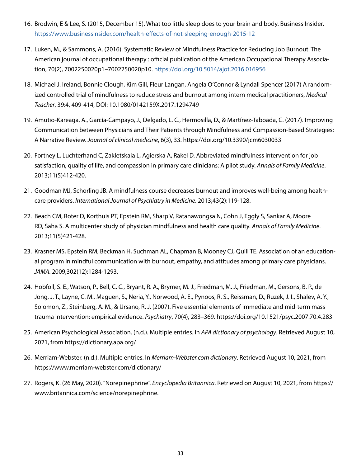- 16. Brodwin, E & Lee, S. (2015, December 15). What too little sleep does to your brain and body. Business Insider. <https://www.businessinsider.com/health-effects-of-not-sleeping-enough-2015-12>
- 17. Luken, M., & Sammons, A. (2016). Systematic Review of Mindfulness Practice for Reducing Job Burnout. The American journal of occupational therapy : official publication of the American Occupational Therapy Association, 70(2), 7002250020p1–7002250020p10. <https://doi.org/10.5014/ajot.2016.016956>
- 18. Michael J. Ireland, Bonnie Clough, Kim Gill, Fleur Langan, Angela O'Connor & Lyndall Spencer (2017) A randomized controlled trial of mindfulness to reduce stress and burnout among intern medical practitioners, *Medical Teacher*, 39:4, 409-414, DOI: 10.1080/0142159X.2017.1294749
- 19. Amutio-Kareaga, A., García-Campayo, J., Delgado, L. C., Hermosilla, D., & Martínez-Taboada, C. (2017). Improving Communication between Physicians and Their Patients through Mindfulness and Compassion-Based Strategies: A Narrative Review. *Journal of clinical medicine*, 6(3), 33. https://doi.org/10.3390/jcm6030033
- 20. Fortney L, Luchterhand C, Zakletskaia L, Agierska A, Rakel D. Abbreviated mindfulness intervention for job satisfaction, quality of life, and compassion in primary care clinicians: A pilot study. *Annals of Family Medicine*. 2013;11(5)412-420.
- 21. Goodman MJ, Schorling JB. A mindfulness course decreases burnout and improves well-being among healthcare providers. *International Journal of Psychiatry in Medicine*. 2013;43(2):119-128.
- 22. Beach CM, Roter D, Korthuis PT, Epstein RM, Sharp V, Ratanawongsa N, Cohn J, Eggly S, Sankar A, Moore RD, Saha S. A multicenter study of physician mindfulness and health care quality. *Annals of Family Medicine*. 2013;11(5)421-428.
- 23. Krasner MS, Epstein RM, Beckman H, Suchman AL, Chapman B, Mooney CJ, Quill TE. Association of an educational program in mindful communication with burnout, empathy, and attitudes among primary care physicians. *JAMA*. 2009;302(12):1284-1293.
- 24. Hobfoll, S. E., Watson, P., Bell, C. C., Bryant, R. A., Brymer, M. J., Friedman, M. J., Friedman, M., Gersons, B. P., de Jong, J. T., Layne, C. M., Maguen, S., Neria, Y., Norwood, A. E., Pynoos, R. S., Reissman, D., Ruzek, J. I., Shalev, A. Y., Solomon, Z., Steinberg, A. M., & Ursano, R. J. (2007). Five essential elements of immediate and mid-term mass trauma intervention: empirical evidence. *Psychiatry*, 70(4), 283–369. https://doi.org/10.1521/psyc.2007.70.4.283
- 25. American Psychological Association. (n.d.). Multiple entries. In *APA dictionary of psychology*. Retrieved August 10, 2021, from https://dictionary.apa.org/
- 26. Merriam-Webster. (n.d.). Multiple entries. In *Merriam-Webster.com dictionary*. Retrieved August 10, 2021, from https://www.merriam-webster.com/dictionary/
- 27. Rogers, K. (26 May, 2020). "Norepinephrine". *Encyclopedia Britannica*. Retrieved on August 10, 2021, from https:// www.britannica.com/science/norepinephrine.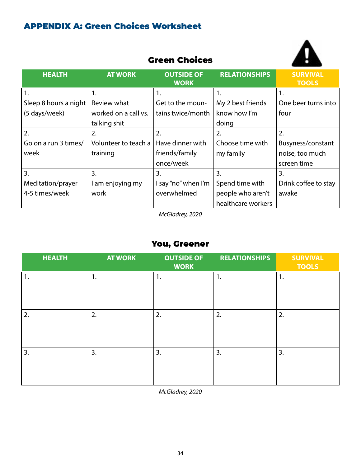## APPENDIX A: Green Choices Worksheet

|                       | <b>Green Choices</b> |                                  |                      |                                 |
|-----------------------|----------------------|----------------------------------|----------------------|---------------------------------|
| <b>HEALTH</b>         | <b>AT WORK</b>       | <b>OUTSIDE OF</b><br><b>WORK</b> | <b>RELATIONSHIPS</b> | <b>SURVIVAL</b><br><b>TOOLS</b> |
| 1.                    | 1.                   | 1.                               | 1.                   | 1.                              |
| Sleep 8 hours a night | Review what          | Get to the moun-                 | My 2 best friends    | One beer turns into             |
| (5 days/week)         | worked on a call vs. | tains twice/month                | know how I'm         | four                            |
|                       | talking shit         |                                  | doing                |                                 |
| 2.                    | 2.                   | 2.                               | 2.                   | 2.                              |
| Go on a run 3 times/  | Volunteer to teach a | Have dinner with                 | Choose time with     | Busyness/constant               |
| week                  | training             | friends/family                   | my family            | noise, too much                 |
|                       |                      | once/week                        |                      | screen time                     |
| 3.                    | 3.                   | 3.                               | 3.                   | $\overline{3}$ .                |
| Meditation/prayer     | I am enjoying my     | I say "no" when I'm              | Spend time with      | Drink coffee to stay            |
| 4-5 times/week        | work                 | overwhelmed                      | people who aren't    | awake                           |
|                       |                      |                                  | healthcare workers   |                                 |

Green Choices

A

*McGladrey, 2020*

## You, Greener

| <b>HEALTH</b> | <b>AT WORK</b> | <b>OUTSIDE OF</b><br><b>WORK</b> | <b>RELATIONSHIPS</b> | <b>SURVIVAL</b><br><b>TOOLS</b> |
|---------------|----------------|----------------------------------|----------------------|---------------------------------|
| 1.            | 1.             | 1.                               | 1.                   | 1.                              |
| 2.            | 2.             | 2.                               | 2.                   | 2.                              |
| 3.            | 3.             | 3.                               | 3.                   | 3.                              |

*McGladrey, 2020*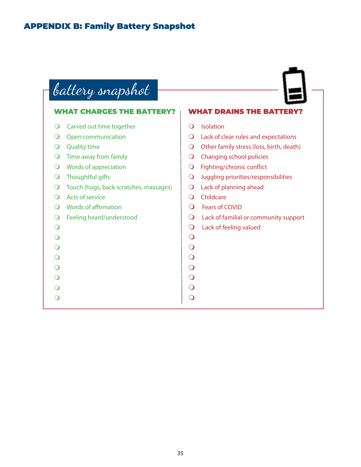## APPENDIX B: Family Battery Snapshot

battery snapshot

### WHAT CHARGES THE BATTERY? **O** Carved out time together **O** Open communication  $\overline{O}$  Quality time  $\bigcirc$  Time away from family  $\bigcirc$  Words of appreciation  $\bigcirc$  Thoughtful gifts **O** Touch (hugs, back scratches, massages) **O** Acts of service  $\bigcirc$  Words of affirmation **O** Feeling heard/understood  $\overline{O}$  $\overline{O}$  $\overline{O}$  $\overline{O}$  $\bullet$  $\Omega$  $\overline{O}$  $\overline{O}$ **WHAT DRAINS THE BATTERY O** Isolation  $\Omega$  Lack of clear rules and expectations O Other family stress (loss, birth, death) **O** Changing school policies **Q** Fighting/chronic conflict **O** Juggling priorities/responsibilities **O** Lack of planning ahead **O** Childcare **O** Fears of COVID  $\Omega$  Lack of familial or community support  $\bigcirc$  Lack of feeling valued  $\overline{O}$  $\overline{O}$  $\overline{O}$  $\overline{O}$  $\overline{O}$  $\overline{O}$  $\overline{O}$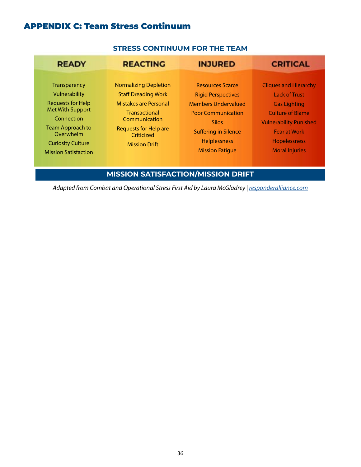## APPENDIX C: Team Stress Continuum

## **STRESS CONTINUUM FOR THE TEAM**

| <b>READY</b>                                                                                                                                                                                                 | <b>REACTING</b>                                                                                                                                                                                           | <b>INJURED</b>                                                                                                                                                                                           | <b>CRITICAL</b>                                                                                                                                                                                                |
|--------------------------------------------------------------------------------------------------------------------------------------------------------------------------------------------------------------|-----------------------------------------------------------------------------------------------------------------------------------------------------------------------------------------------------------|----------------------------------------------------------------------------------------------------------------------------------------------------------------------------------------------------------|----------------------------------------------------------------------------------------------------------------------------------------------------------------------------------------------------------------|
| <b>Transparency</b><br>Vulnerability<br><b>Requests for Help</b><br><b>Met With Support</b><br>Connection<br><b>Team Approach to</b><br>Overwhelm<br><b>Curiosity Culture</b><br><b>Mission Satisfaction</b> | <b>Normalizing Depletion</b><br><b>Staff Dreading Work</b><br><b>Mistakes are Personal</b><br><b>Transactional</b><br>Communication<br><b>Requests for Help are</b><br>Criticized<br><b>Mission Drift</b> | <b>Resources Scarce</b><br><b>Rigid Perspectives</b><br><b>Members Undervalued</b><br><b>Poor Communication</b><br><b>Silos</b><br><b>Suffering in Silence</b><br>Helplessness<br><b>Mission Fatique</b> | <b>Cliques and Hierarchy</b><br><b>Lack of Trust</b><br><b>Gas Lighting</b><br><b>Culture of Blame</b><br><b>Vulnerability Punished</b><br><b>Fear at Work</b><br><b>Hopelessness</b><br><b>Moral Injuries</b> |

**MISSION SATISFACTION/MISSION DRIFT**

Adapted from Combat and Operational Stress First Aid by Laura McGladrey | *[responderalliance.com](http://responderalliance.com)*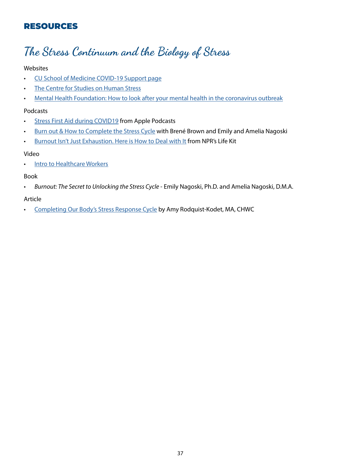## RESOURCES

# The Stress Continuum and the Biology of Stress

## Websites

- [CU School of Medicine COVID-19 Support page](https://medschool.cuanschutz.edu/psychiatry/covid-19-support)
- [The Centre for Studies on Human Stress](https://humanstress.ca/stress/what-is-stress/biology-of-stress/)
- [Mental Health Foundation: How to look after your mental health in the coronavirus outbreak](https://www.mentalhealth.org.uk/coronavirus)

### Podcasts

- [Stress First Aid during COVID19](https://podcasts.apple.com/us/podcast/responding-to-covid-19/id1504022880) from Apple Podcasts
- [Burn out & How to Complete the Stress Cycle](https://brenebrown.com/podcast/brene-with-emily-and-amelia-nagoski-on-burnout-and-how-to-complete-the-stress-cycle/) with Brené Brown and Emily and Amelia Nagoski
- [Burnout Isn't Just Exhaustion. Here is How to Deal with It](https://www.npr.org/2021/03/08/974787023/burnout-isnt-just-exhaustion-heres-how-to-deal-with-it) from NPR's Life Kit

## Video

• [Intro to Healthcare Workers](https://vimeo.com/489297304)

## Book

*• Burnout: The Secret to Unlocking the Stress Cycle* - Emily Nagoski, Ph.D. and Amelia Nagoski, D.M.A.

## Article

• [Completing Our Body's Stress Response Cycle](https://www.uky.edu/hr/thrive/11-17-2020/completing-our-bodys-stress-response-cycle) by Amy Rodquist-Kodet, MA, CHWC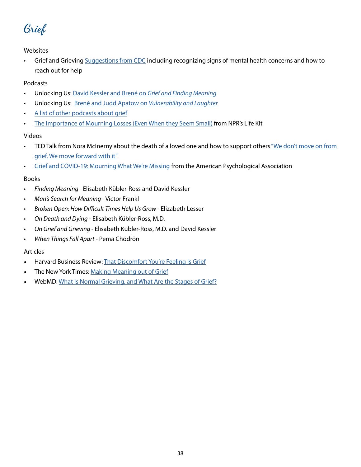Grief

Grief and Grieving [Suggestions from CDC](https://www.cdc.gov/mentalhealth/stress-coping/grief-loss/index.html?CDC_AA_refVal=https%3A%2F%2Fwww.cdc.gov%2Fcoronavirus%2F2019-ncov%2Fdaily-life-coping%2Fstress-coping%2Fgrief-loss.html) including recognizing signs of mental health concerns and how to reach out for help

### Podcasts

- Unlocking Us: [David Kessler and Brené on](https://brenebrown.com/podcast/david-kessler-and-brene-on-grief-and-finding-meaning/) *Grief and Finding Meaning*
- Unlocking Us: [Brené and Judd Apatow on](https://brenebrown.com/podcast/brene-with-judd-apatow-on-vulnerability-and-laughter/) *Vulnerability and Laughter*
- [A list of other podcasts about grief](https://www.choosingtherapy.com/grief-podcasts/)
- [The Importance of Mourning Losses \(Even When they Seem Small\)](https://www.npr.org/2021/06/02/1002446604/the-importance-of-mourning-losses-even-when-they-seem-small) from NPR's Life Kit

### Videos

- TED Talk from Nora McInerny about the death of a loved one and how to support others "We don't move on from [grief. We move forward with it"](https://www.youtube.com/watch?v=khkJkR-ipfw)
- [Grief and COVID-19: Mourning What We're Missing](https://www.youtube.com/watch?v=fcBTBSrAg-8) from the American Psychological Association

### Books

- *• Finding Meaning*  Elisabeth Kübler-Ross and David Kessler
- *• Man's Search for Meaning*  Victor Frankl
- *• Broken Open: How Difficult Times Help Us Grow*  Elizabeth Lesser
- *• On Death and Dying* Elisabeth Kübler-Ross, M.D.
- *• On Grief and Grieving*  Elisabeth Kübler-Ross, M.D. and David Kessler
- *• When Things Fall Apart* Pema Chödrön

### Articles

- Harvard Business Review: [That Discomfort You're Feeling is Grief](https://hbr.org/2020/03/that-discomfort-youre-feeling-is-grief)
- The New York Times: [Making Meaning out of Grief](https://www.nytimes.com/2019/11/04/well/mind/making-meaning-out-of-grief.html)
- WebMD: [What Is Normal Grieving, and What Are the Stages of Grief?](https://www.webmd.com/balance/normal-grieving-and-stages-of-grief)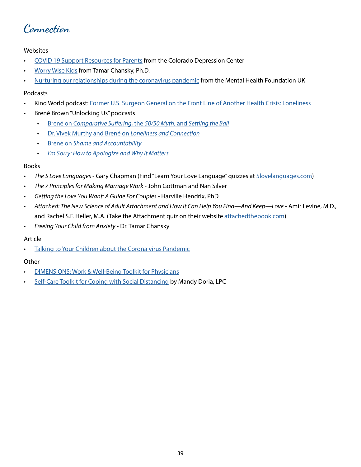Connection

- [COVID 19 Support Resources for Parents](https://www.coloradodepressioncenter.org/covid/) from the Colorado Depression Center
- [Worry Wise Kids](http://www.worrywisekids.org/node/69) from Tamar Chansky, Ph.D.
- [Nurturing our relationships during the coronavirus pandemic](https://www.mentalhealth.org.uk/coronavirus/nurturing-our-relationships-during-coronavirus-pandemic) from the Mental Health Foundation UK

### Podcasts

- Kind World podcast: [Former U.S. Surgeon General on the Front Line of Another Health Crisis: Loneliness](https://www.wbur.org/kindworld/2020/07/14/loneliness-vivek-murthy)
- Brené Brown "Unlocking Us" podcasts
	- Brené on *[Comparative Suffering](https://brenebrown.com/podcast/brene-on-comparative-suffering-the-50-50-myth-and-settling-the-ball/)*, the *50/50 Myth*, and *Settling the Ball*
	- [Dr. Vivek Murthy and Brené on](https://brenebrown.com/podcast/dr-vivek-murthy-and-brene-on-loneliness-and-connection/) *Loneliness and Connection*
	- Brené on *[Shame and Accountability](https://brenebrown.com/podcast/brene-on-shame-and-accountability/)*
	- *• [I'm Sorry: How to Apologize and Why it Matters](https://brenebrown.com/podcast/harriet-lerner-and-brene-im-sorry-how-to-apologize-why-it-matters/)*

### Books

- *• The 5 Love Languages* Gary Chapman (Find "Learn Your Love Language" quizzes at [5lovelanguages.com\)](http://5lovelanguages.com)
- *• The 7 Principles for Making Marriage Work* John Gottman and Nan Silver
- *• Getting the Love You Want: A Guide For Couples* Harville Hendrix, PhD
- *• Attached: The New Science of Adult Attachment and How It Can Help You Find—And Keep—Love* Amir Levine, M.D., and Rachel S.F. Heller, M.A. (Take the Attachment quiz on their website [attachedthebook.com\)](https://www.attachedthebook.com/wordpress/)
- *• Freeing Your Child from Anxiety* Dr. Tamar Chansky

### Article

• [Talking to Your Children about the Corona virus Pandemic](https://childmind.org/article/talking-to-kids-about-the-coronavirus/)

### **Other**

- [DIMENSIONS: Work & Well-Being Toolkit for Physicians](https://www.bhthechange.org/wp-content/uploads/2017/11/Work-and-Well-Being-Toolkit-for-Physicians.pdf)
- **[Self-Care Toolkit for Coping with Social Distancing](https://medschool.cuanschutz.edu/docs/librariesprovider45/covid-19-support/self-care-toolkit-for-coping-with-social-distancing.pdf?sfvrsn=2d8707b9_2) by Mandy Doria, LPC**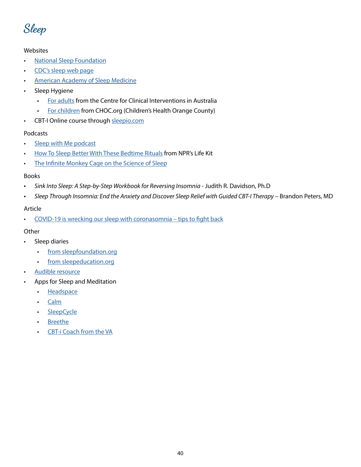Sleep

- [National Sleep Foundation](https://www.sleepfoundation.org/)
- [CDC's sleep web pag](https://www.cdc.gov/sleep/index.html)e
- [American Academy of Sleep Medicine](https://sleepeducation.org/healthy-sleep/)
- Sleep Hygiene
	- [For adults](https://www.cci.health.wa.gov.au/-/media/CCI/Mental-Health-Professionals/Sleep/Sleep---Information-Sheets/Sleep-Information-Sheet---04---Sleep-Hygiene.pdf) from the Centre for Clinical Interventions in Australia
	- [For children](https://www.choc.org/wp/wp-content/uploads/2016/04/Sleep-Hygiene-Children-Handout.pdf) from CHOC.org (Children's Health Orange County)
- CBT-I Online course through [sleepio.com](https://www.sleepio.com/)

## Podcasts

- [Sleep with Me podcast](https://www.sleepwithmepodcast.com/?correlationId=eb3407b4-391f-46f2-8d94-7d864218c9fc)
- [How To Sleep Better With These Bedtime Rituals](https://podcasts.apple.com/us/podcast/how-to-sleep-better-with-these-bedtime-rituals/id1461493560?i=1000477129416) from NPR's Life Kit
- [The Infinite Monkey Cage on the Science of Sleep](https://www.bbc.co.uk/sounds/play/b07knqxy)

### Books

- *Sink Into Sleep: A Step-by-Step Workbook for Reversing Insomnia* Judith R. Davidson, Ph.D
- *Sleep Through Insomnia: End the Anxiety and Discover Sleep Relief with Guided CBT-I Therapy* Brandon Peters, MD

## Article

• [COVID-19 is wrecking our sleep with coronasomnia – tips to fight back](https://health.ucdavis.edu/health-news/newsroom/covid-19-is-wrecking-our-sleep-with-coronasomnia--tips-to-fight-back-/2020/09)

### **Other**

- Sleep diaries
	- [from sleepfoundation.org](https://www.sleepfoundation.org/sleep-diary)
	- [from sleepeducation.org](https://sleepeducation.org/resources/sleep-diary/)
- [Audible resource](https://www.audible.com/ep/sleep)
- Apps for Sleep and Meditation
	- [Headspace](https://www.headspace.com/)
	- [Calm](https://www.calm.com/)
	- [SleepCycle](https://www.sleepcycle.com/)
	- [Breethe](https://breethe.com/)
	- [CBT-i Coach from the VA](https://mobile.va.gov/app/cbt-i-coach)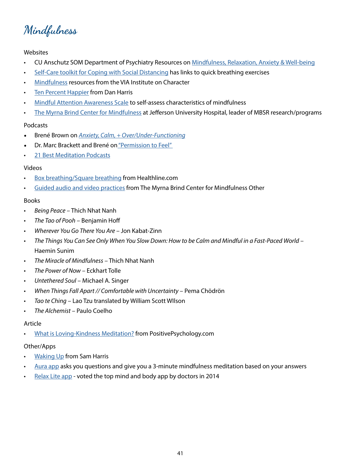Mindfulness

- CU Anschutz SOM Department of Psychiatry Resources on [Mindfulness, Relaxation, Anxiety & Well-being](https://medschool.cuanschutz.edu/psychiatry/covid-19-support/destress-video-links)
- [Self-Care toolkit for Coping with Social Distancing](https://medschool.cuanschutz.edu/docs/librariesprovider45/covid-19-support/self-care-toolkit-for-coping-with-social-distancing.pdf?sfvrsn=2d8707b9_2) has links to quick breathing exercises
- [Mindfulness](https://www.viacharacter.org/topics/mindfulness) resources from the VIA Institute on Character
- [Ten Percent Happier](https://www.tenpercent.com/) from Dan Harris
- [Mindful Attention Awareness Scale](https://ggsc.berkeley.edu/images/uploads/The_Mindful_Attention_Awareness_Scale_-_Trait_(1).pdf) to self-assess characteristics of mindfulness
- [The Myrna Brind Center for Mindfulness](https://hospitals.jefferson.edu/departments-and-services/mindfulness-institute.html) at Jefferson University Hospital, leader of MBSR research/programs

### Podcasts

- Brené Brown on *[Anxiety, Calm, + Over/Under-Functioning](https://brenebrown.com/podcast/brene-on-anxiety-calm-over-under-functioning/)*
- Dr. Marc Brackett and Brené o[n "Permission to Feel"](https://brenebrown.com/podcast/dr-marc-brackett-and-brene-on-permission-to-feel/)
- [21 Best Meditation Podcasts](https://www.verywellmind.com/best-meditation-podcasts-4771686)

### Videos

- [Box breathing/Square breathing](https://www.healthline.com/health/box-breathing#slowly-exhale) from Healthline.com
- [Guided audio and video practices](https://hospitals.jefferson.edu/departments-and-services/mindfulness-institute/mbsr-guided-practice.html) from The Myrna Brind Center for Mindfulness Other

### Books

- *• Being Peace* Thich Nhat Nanh
- *• The Tao of Pooh* Benjamin Hoff
- *• Wherever You Go There You Are* Jon Kabat-Zinn
- *• The Things You Can See Only When You Slow Down: How to be Calm and Mindful in a Fast-Paced World* Haemin Sunim
- *• The Miracle of Mindfulness* Thich Nhat Nanh
- *• The Power of Now* Eckhart Tolle
- *• Untethered Soul* Michael A. Singer
- *• When Things Fall Apart // Comfortable with Uncertainty* Pema Chödrön
- *• Tao te Ching* Lao Tzu translated by William Scott WIlson
- *• The Alchemist* Paulo Coelho

### Article

• [What is Loving-Kindness Meditation?](https://positivepsychology.com/loving-kindness-meditation/) from PositivePsychology.com

### Other/Apps

- **[Waking Up](https://wakingup.com/) from Sam Harris**
- [Aura app](https://www.aurahealth.io/) asks you questions and give you a 3-minute mindfulness meditation based on your answers
- [Relax Lite app](https://apps.apple.com/us/app/relax-lite-stress-and-anxiety-relief/id409665681) voted the top mind and body app by doctors in 2014